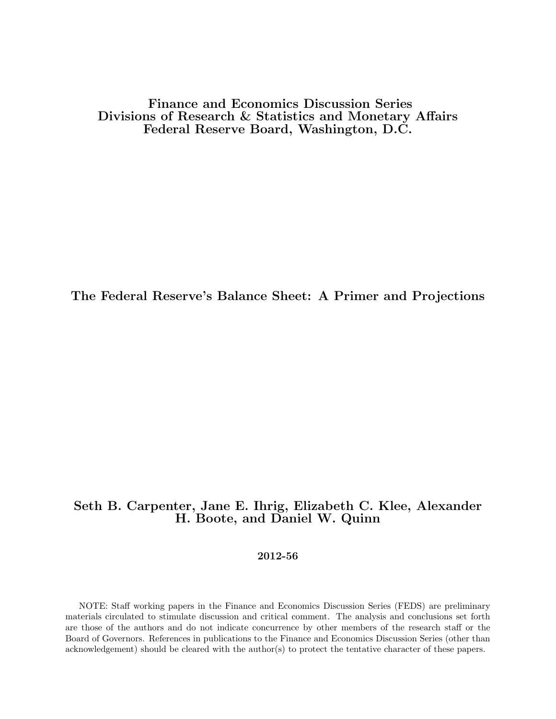Finance and Economics Discussion Series Divisions of Research & Statistics and Monetary Affairs Federal Reserve Board, Washington, D.C.

The Federal Reserve's Balance Sheet: A Primer and Projections

# Seth B. Carpenter, Jane E. Ihrig, Elizabeth C. Klee, Alexander H. Boote, and Daniel W. Quinn

#### 2012-56

NOTE: Staff working papers in the Finance and Economics Discussion Series (FEDS) are preliminary materials circulated to stimulate discussion and critical comment. The analysis and conclusions set forth are those of the authors and do not indicate concurrence by other members of the research staff or the Board of Governors. References in publications to the Finance and Economics Discussion Series (other than acknowledgement) should be cleared with the author(s) to protect the tentative character of these papers.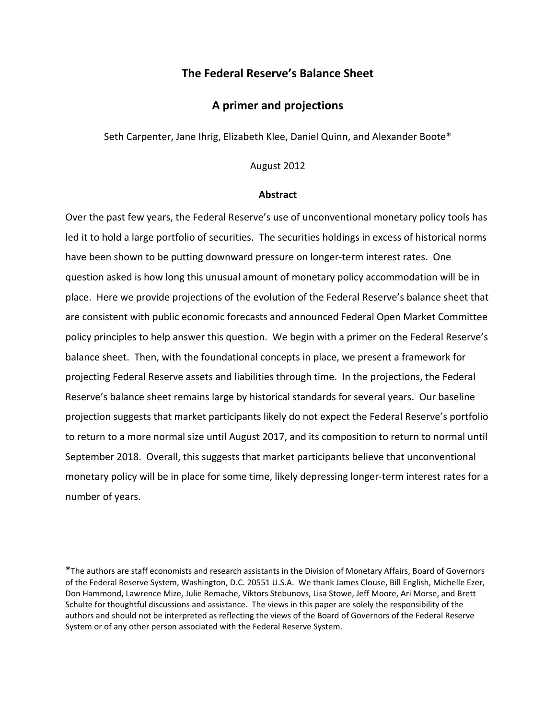### **The Federal Reserve's Balance Sheet**

### **A primer and projections**

Seth Carpenter, Jane Ihrig, Elizabeth Klee, Daniel Quinn, and Alexander Boote\*

August 2012

#### **Abstract**

Over the past few years, the Federal Reserve's use of unconventional monetary policy tools has led it to hold a large portfolio of securities. The securities holdings in excess of historical norms have been shown to be putting downward pressure on longer-term interest rates. One question asked is how long this unusual amount of monetary policy accommodation will be in place. Here we provide projections of the evolution of the Federal Reserve's balance sheet that are consistent with public economic forecasts and announced Federal Open Market Committee policy principles to help answer this question. We begin with a primer on the Federal Reserve's balance sheet. Then, with the foundational concepts in place, we present a framework for projecting Federal Reserve assets and liabilities through time. In the projections, the Federal Reserve's balance sheet remains large by historical standards for several years. Our baseline projection suggests that market participants likely do not expect the Federal Reserve's portfolio to return to a more normal size until August 2017, and its composition to return to normal until September 2018. Overall, this suggests that market participants believe that unconventional monetary policy will be in place for some time, likely depressing longer‐term interest rates for a number of years.

<sup>\*</sup>The authors are staff economists and research assistants in the Division of Monetary Affairs, Board of Governors of the Federal Reserve System, Washington, D.C. 20551 U.S.A. We thank James Clouse, Bill English, Michelle Ezer, Don Hammond, Lawrence Mize, Julie Remache, Viktors Stebunovs, Lisa Stowe, Jeff Moore, Ari Morse, and Brett Schulte for thoughtful discussions and assistance. The views in this paper are solely the responsibility of the authors and should not be interpreted as reflecting the views of the Board of Governors of the Federal Reserve System or of any other person associated with the Federal Reserve System.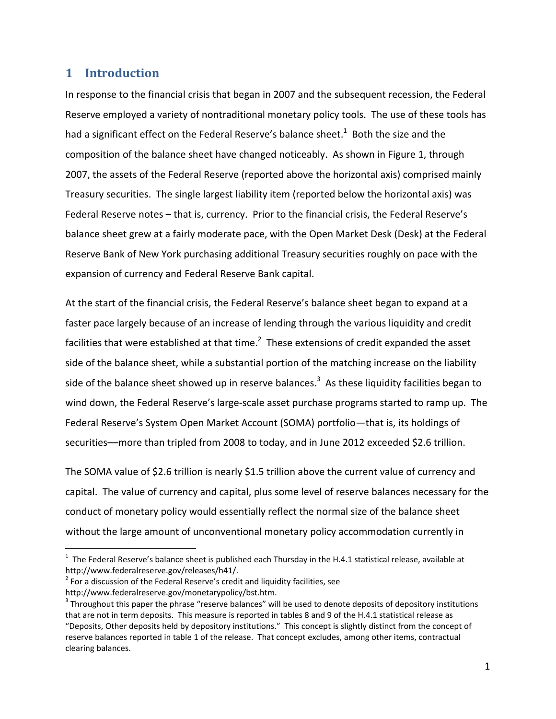# **1 Introduction**

In response to the financial crisis that began in 2007 and the subsequent recession, the Federal Reserve employed a variety of nontraditional monetary policy tools. The use of these tools has had a significant effect on the Federal Reserve's balance sheet.<sup>1</sup> Both the size and the composition of the balance sheet have changed noticeably. As shown in Figure 1, through 2007, the assets of the Federal Reserve (reported above the horizontal axis) comprised mainly Treasury securities. The single largest liability item (reported below the horizontal axis) was Federal Reserve notes - that is, currency. Prior to the financial crisis, the Federal Reserve's balance sheet grew at a fairly moderate pace, with the Open Market Desk (Desk) at the Federal Reserve Bank of New York purchasing additional Treasury securities roughly on pace with the expansion of currency and Federal Reserve Bank capital.

At the start of the financial crisis, the Federal Reserve's balance sheet began to expand at a faster pace largely because of an increase of lending through the various liquidity and credit facilities that were established at that time.<sup>2</sup> These extensions of credit expanded the asset side of the balance sheet, while a substantial portion of the matching increase on the liability side of the balance sheet showed up in reserve balances.<sup>3</sup> As these liquidity facilities began to wind down, the Federal Reserve's large-scale asset purchase programs started to ramp up. The Federal Reserve's System Open Market Account (SOMA) portfolio—that is, its holdings of securities––more than tripled from 2008 to today, and in June 2012 exceeded \$2.6 trillion.

The SOMA value of \$2.6 trillion is nearly \$1.5 trillion above the current value of currency and capital. The value of currency and capital, plus some level of reserve balances necessary for the conduct of monetary policy would essentially reflect the normal size of the balance sheet without the large amount of unconventional monetary policy accommodation currently in

 1 The Federal Reserve's balance sheet is published each Thursday in the H.4.1 statistical release, available at http://www.federalreserve.gov/releases/h41/.

 $2$  For a discussion of the Federal Reserve's credit and liquidity facilities, see

http://www.federalreserve.gov/monetarypolicy/bst.htm.<br> $3$  Throughout this paper the phrase "reserve balances" will be used to denote deposits of depository institutions that are not in term deposits. This measure is reported in tables 8 and 9 of the H.4.1 statistical release as "Deposits, Other deposits held by depository institutions." This concept is slightly distinct from the concept of reserve balances reported in table 1 of the release. That concept excludes, among other items, contractual clearing balances.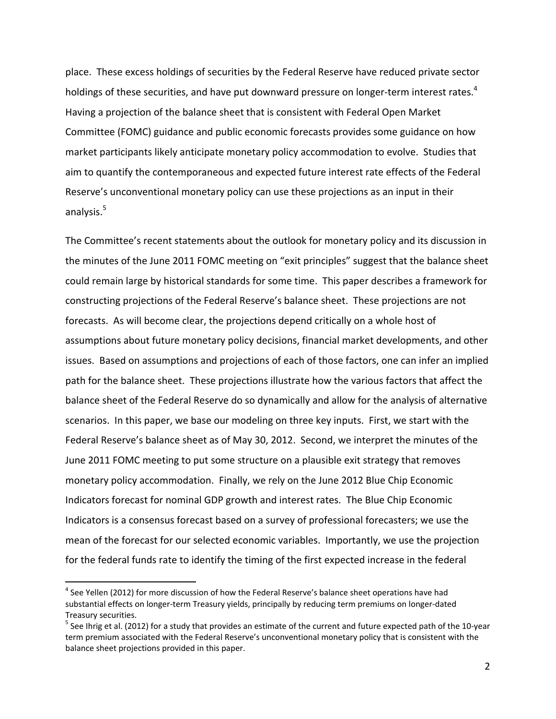place. These excess holdings of securities by the Federal Reserve have reduced private sector holdings of these securities, and have put downward pressure on longer-term interest rates.<sup>4</sup> Having a projection of the balance sheet that is consistent with Federal Open Market Committee (FOMC) guidance and public economic forecasts provides some guidance on how market participants likely anticipate monetary policy accommodation to evolve. Studies that aim to quantify the contemporaneous and expected future interest rate effects of the Federal Reserve's unconventional monetary policy can use these projections as an input in their analysis.<sup>5</sup>

The Committee's recent statements about the outlook for monetary policy and its discussion in the minutes of the June 2011 FOMC meeting on "exit principles" suggest that the balance sheet could remain large by historical standards for some time. This paper describes a framework for constructing projections of the Federal Reserve's balance sheet. These projections are not forecasts. As will become clear, the projections depend critically on a whole host of assumptions about future monetary policy decisions, financial market developments, and other issues. Based on assumptions and projections of each of those factors, one can infer an implied path for the balance sheet. These projections illustrate how the various factors that affect the balance sheet of the Federal Reserve do so dynamically and allow for the analysis of alternative scenarios. In this paper, we base our modeling on three key inputs. First, we start with the Federal Reserve's balance sheet as of May 30, 2012. Second, we interpret the minutes of the June 2011 FOMC meeting to put some structure on a plausible exit strategy that removes monetary policy accommodation. Finally, we rely on the June 2012 Blue Chip Economic Indicators forecast for nominal GDP growth and interest rates. The Blue Chip Economic Indicators is a consensus forecast based on a survey of professional forecasters; we use the mean of the forecast for our selected economic variables. Importantly, we use the projection for the federal funds rate to identify the timing of the first expected increase in the federal

 $4$  See Yellen (2012) for more discussion of how the Federal Reserve's balance sheet operations have had substantial effects on longer-term Treasury yields, principally by reducing term premiums on longer-dated

Treasury securities.<br><sup>5</sup> See Ihrig et al. (2012) for a study that provides an estimate of the current and future expected path of the 10‐year term premium associated with the Federal Reserve's unconventional monetary policy that is consistent with the balance sheet projections provided in this paper.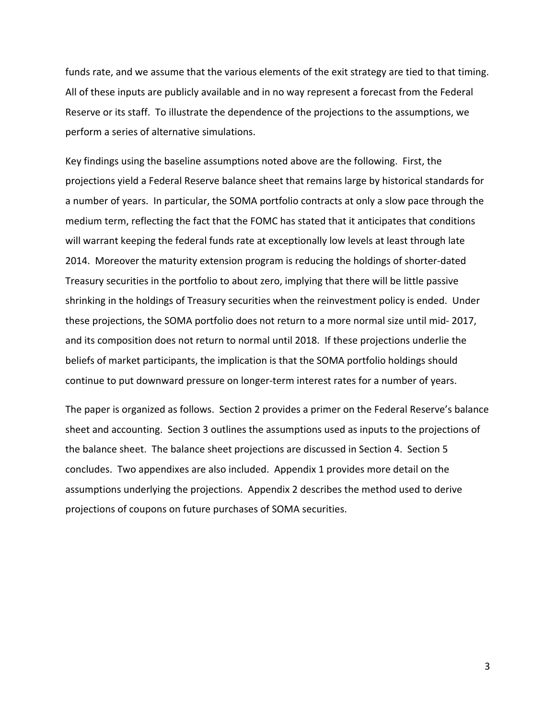funds rate, and we assume that the various elements of the exit strategy are tied to that timing. All of these inputs are publicly available and in no way represent a forecast from the Federal Reserve or its staff. To illustrate the dependence of the projections to the assumptions, we perform a series of alternative simulations.

Key findings using the baseline assumptions noted above are the following. First, the projections yield a Federal Reserve balance sheet that remains large by historical standards for a number of years. In particular, the SOMA portfolio contracts at only a slow pace through the medium term, reflecting the fact that the FOMC has stated that it anticipates that conditions will warrant keeping the federal funds rate at exceptionally low levels at least through late 2014. Moreover the maturity extension program is reducing the holdings of shorter‐dated Treasury securities in the portfolio to about zero, implying that there will be little passive shrinking in the holdings of Treasury securities when the reinvestment policy is ended. Under these projections, the SOMA portfolio does not return to a more normal size until mid‐ 2017, and its composition does not return to normal until 2018. If these projections underlie the beliefs of market participants, the implication is that the SOMA portfolio holdings should continue to put downward pressure on longer‐term interest rates for a number of years.

The paper is organized as follows. Section 2 provides a primer on the Federal Reserve's balance sheet and accounting. Section 3 outlines the assumptions used as inputs to the projections of the balance sheet. The balance sheet projections are discussed in Section 4. Section 5 concludes. Two appendixes are also included. Appendix 1 provides more detail on the assumptions underlying the projections. Appendix 2 describes the method used to derive projections of coupons on future purchases of SOMA securities.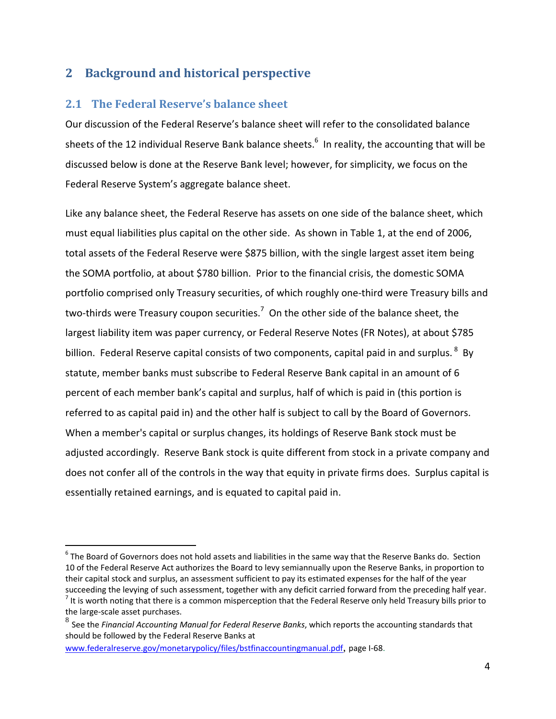# **2 Background and historical perspective**

### **2.1 The Federal Reserve's balance sheet**

Our discussion of the Federal Reserve's balance sheet will refer to the consolidated balance sheets of the 12 individual Reserve Bank balance sheets.<sup>6</sup> In reality, the accounting that will be discussed below is done at the Reserve Bank level; however, for simplicity, we focus on the Federal Reserve System's aggregate balance sheet.

Like any balance sheet, the Federal Reserve has assets on one side of the balance sheet, which must equal liabilities plus capital on the other side. As shown in Table 1, at the end of 2006, total assets of the Federal Reserve were \$875 billion, with the single largest asset item being the SOMA portfolio, at about \$780 billion. Prior to the financial crisis, the domestic SOMA portfolio comprised only Treasury securities, of which roughly one-third were Treasury bills and two-thirds were Treasury coupon securities.<sup>7</sup> On the other side of the balance sheet, the largest liability item was paper currency, or Federal Reserve Notes (FR Notes), at about \$785 billion. Federal Reserve capital consists of two components, capital paid in and surplus.  ${}^{8}$  By statute, member banks must subscribe to Federal Reserve Bank capital in an amount of 6 percent of each member bank's capital and surplus, half of which is paid in (this portion is referred to as capital paid in) and the other half is subject to call by the Board of Governors. When a member's capital or surplus changes, its holdings of Reserve Bank stock must be adjusted accordingly. Reserve Bank stock is quite different from stock in a private company and does not confer all of the controls in the way that equity in private firms does. Surplus capital is essentially retained earnings, and is equated to capital paid in.

www.federalreserve.gov/monetarypolicy/files/bstfinaccountingmanual.pdf, page I-68.

 $6$  The Board of Governors does not hold assets and liabilities in the same way that the Reserve Banks do. Section 10 of the Federal Reserve Act authorizes the Board to levy semiannually upon the Reserve Banks, in proportion to their capital stock and surplus, an assessment sufficient to pay its estimated expenses for the half of the year succeeding the levying of such assessment, together with any deficit carried forward from the preceding half year.<br> $\frac{7}{1}$  It is worth noting that there is a common misperception that the Federal Reserve only held Treas

the large-scale asset purchases.<br><sup>8</sup> See the *Financial Accounting Manual for Federal Reserve Banks,* which reports the accounting standards that should be followed by the Federal Reserve Banks at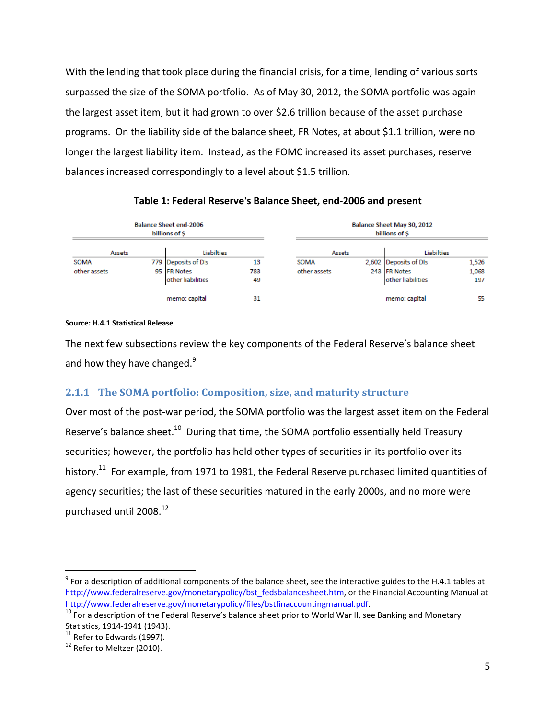With the lending that took place during the financial crisis, for a time, lending of various sorts surpassed the size of the SOMA portfolio. As of May 30, 2012, the SOMA portfolio was again the largest asset item, but it had grown to over \$2.6 trillion because of the asset purchase programs. On the liability side of the balance sheet, FR Notes, at about \$1.1 trillion, were no longer the largest liability item. Instead, as the FOMC increased its asset purchases, reserve balances increased correspondingly to a level about \$1.5 trillion.



### **Table 1: Federal Reserve's Balance Sheet, end‐2006 and present**

**Source: H.4.1 Statistical Release** 

The next few subsections review the key components of the Federal Reserve's balance sheet and how they have changed. $9$ 

# **2.1.1 The SOMA portfolio: Composition, size, and maturity structure**

Over most of the post‐war period, the SOMA portfolio was the largest asset item on the Federal Reserve's balance sheet.<sup>10</sup> During that time, the SOMA portfolio essentially held Treasury securities; however, the portfolio has held other types of securities in its portfolio over its history.<sup>11</sup> For example, from 1971 to 1981, the Federal Reserve purchased limited quantities of agency securities; the last of these securities matured in the early 2000s, and no more were purchased until 2008.<sup>12</sup>

 $9$  For a description of additional components of the balance sheet, see the interactive guides to the H.4.1 tables at http://www.federalreserve.gov/monetarypolicy/bst\_fedsbalancesheet.htm, or the Financial Accounting Manual at http://www.federalreserve.gov/monetarypolicy/files/bstfinaccountingmanual.pdf.

 $\frac{10}{10}$  For a description of the Federal Reserve's balance sheet prior to World War II, see Banking and Monetary Statistics, 1914-1941 (1943).<br><sup>11</sup> Refer to Edwards (1997).<br><sup>12</sup> Refer to Meltzer (2010).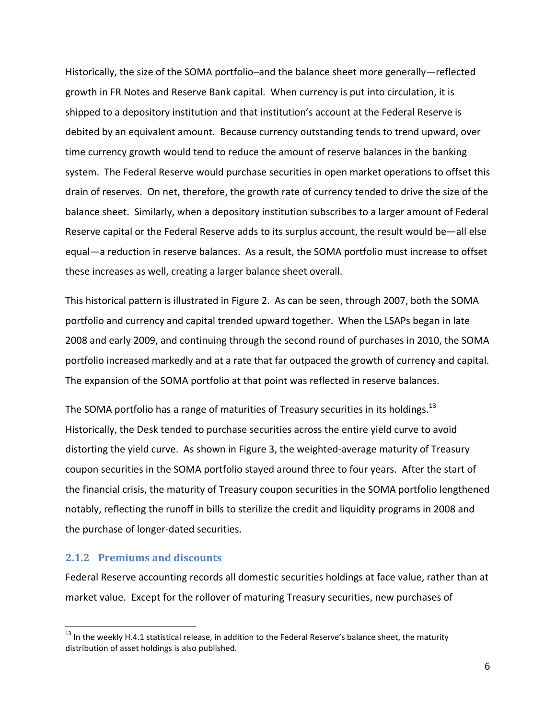Historically, the size of the SOMA portfolio–and the balance sheet more generally—reflected growth in FR Notes and Reserve Bank capital. When currency is put into circulation, it is shipped to a depository institution and that institution's account at the Federal Reserve is debited by an equivalent amount. Because currency outstanding tends to trend upward, over time currency growth would tend to reduce the amount of reserve balances in the banking system. The Federal Reserve would purchase securities in open market operations to offset this drain of reserves. On net, therefore, the growth rate of currency tended to drive the size of the balance sheet. Similarly, when a depository institution subscribes to a larger amount of Federal Reserve capital or the Federal Reserve adds to its surplus account, the result would be—all else equal—a reduction in reserve balances. As a result, the SOMA portfolio must increase to offset these increases as well, creating a larger balance sheet overall.

This historical pattern is illustrated in Figure 2. As can be seen, through 2007, both the SOMA portfolio and currency and capital trended upward together. When the LSAPs began in late 2008 and early 2009, and continuing through the second round of purchases in 2010, the SOMA portfolio increased markedly and at a rate that far outpaced the growth of currency and capital. The expansion of the SOMA portfolio at that point was reflected in reserve balances.

The SOMA portfolio has a range of maturities of Treasury securities in its holdings.<sup>13</sup> Historically, the Desk tended to purchase securities across the entire yield curve to avoid distorting the yield curve. As shown in Figure 3, the weighted‐average maturity of Treasury coupon securities in the SOMA portfolio stayed around three to four years. After the start of the financial crisis, the maturity of Treasury coupon securities in the SOMA portfolio lengthened notably, reflecting the runoff in bills to sterilize the credit and liquidity programs in 2008 and the purchase of longer‐dated securities.

#### **2.1.2 Premiums and discounts**

Federal Reserve accounting records all domestic securities holdings at face value, rather than at market value. Except for the rollover of maturing Treasury securities, new purchases of

 $^{13}$  In the weekly H.4.1 statistical release, in addition to the Federal Reserve's balance sheet, the maturity distribution of asset holdings is also published.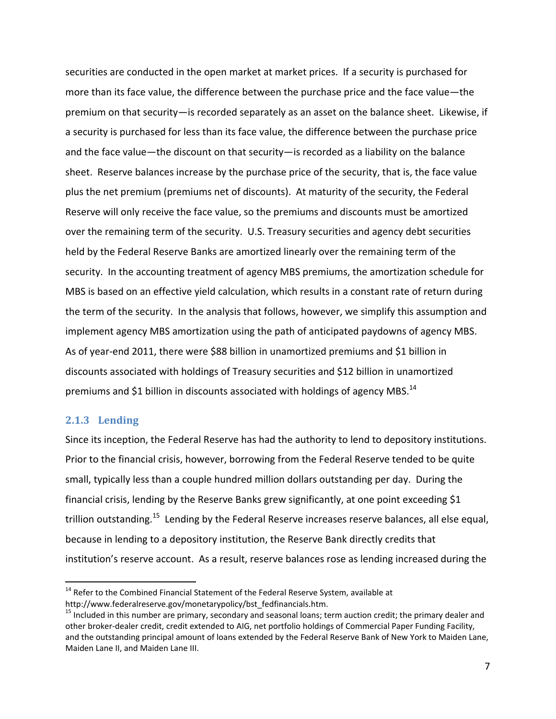securities are conducted in the open market at market prices. If a security is purchased for more than its face value, the difference between the purchase price and the face value—the premium on that security—is recorded separately as an asset on the balance sheet. Likewise, if a security is purchased for less than its face value, the difference between the purchase price and the face value—the discount on that security—is recorded as a liability on the balance sheet. Reserve balances increase by the purchase price of the security, that is, the face value plus the net premium (premiums net of discounts). At maturity of the security, the Federal Reserve will only receive the face value, so the premiums and discounts must be amortized over the remaining term of the security. U.S. Treasury securities and agency debt securities held by the Federal Reserve Banks are amortized linearly over the remaining term of the security. In the accounting treatment of agency MBS premiums, the amortization schedule for MBS is based on an effective yield calculation, which results in a constant rate of return during the term of the security. In the analysis that follows, however, we simplify this assumption and implement agency MBS amortization using the path of anticipated paydowns of agency MBS. As of year‐end 2011, there were \$88 billion in unamortized premiums and \$1 billion in discounts associated with holdings of Treasury securities and \$12 billion in unamortized premiums and \$1 billion in discounts associated with holdings of agency MBS.<sup>14</sup>

#### **2.1.3 Lending**

Since its inception, the Federal Reserve has had the authority to lend to depository institutions. Prior to the financial crisis, however, borrowing from the Federal Reserve tended to be quite small, typically less than a couple hundred million dollars outstanding per day. During the financial crisis, lending by the Reserve Banks grew significantly, at one point exceeding \$1 trillion outstanding.<sup>15</sup> Lending by the Federal Reserve increases reserve balances, all else equal, because in lending to a depository institution, the Reserve Bank directly credits that institution's reserve account. As a result, reserve balances rose as lending increased during the

 $14$  Refer to the Combined Financial Statement of the Federal Reserve System, available at

http://www.federalreserve.gov/monetarypolicy/bst\_fedfinancials.htm.<br><sup>15</sup> Included in this number are primary, secondary and seasonal loans; term auction credit; the primary dealer and other broker‐dealer credit, credit extended to AIG, net portfolio holdings of Commercial Paper Funding Facility, and the outstanding principal amount of loans extended by the Federal Reserve Bank of New York to Maiden Lane, Maiden Lane II, and Maiden Lane III.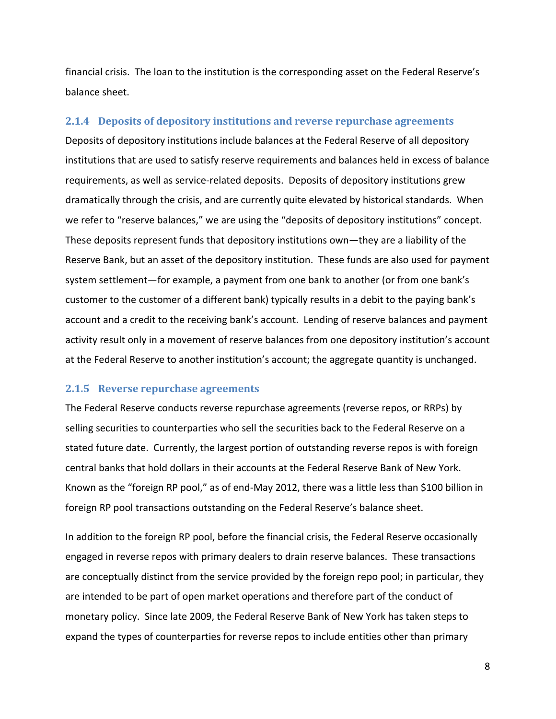financial crisis. The loan to the institution is the corresponding asset on the Federal Reserve's balance sheet.

### **2.1.4 Deposits of depository institutions and reverse repurchase agreements**

Deposits of depository institutions include balances at the Federal Reserve of all depository institutions that are used to satisfy reserve requirements and balances held in excess of balance requirements, as well as service-related deposits. Deposits of depository institutions grew dramatically through the crisis, and are currently quite elevated by historical standards. When we refer to "reserve balances," we are using the "deposits of depository institutions" concept. These deposits represent funds that depository institutions own—they are a liability of the Reserve Bank, but an asset of the depository institution. These funds are also used for payment system settlement—for example, a payment from one bank to another (or from one bank's customer to the customer of a different bank) typically results in a debit to the paying bank's account and a credit to the receiving bank's account. Lending of reserve balances and payment activity result only in a movement of reserve balances from one depository institution's account at the Federal Reserve to another institution's account; the aggregate quantity is unchanged.

#### **2.1.5 Reverse repurchase agreements**

The Federal Reserve conducts reverse repurchase agreements (reverse repos, or RRPs) by selling securities to counterparties who sell the securities back to the Federal Reserve on a stated future date. Currently, the largest portion of outstanding reverse repos is with foreign central banks that hold dollars in their accounts at the Federal Reserve Bank of New York. Known as the "foreign RP pool," as of end‐May 2012, there was a little less than \$100 billion in foreign RP pool transactions outstanding on the Federal Reserve's balance sheet.

In addition to the foreign RP pool, before the financial crisis, the Federal Reserve occasionally engaged in reverse repos with primary dealers to drain reserve balances. These transactions are conceptually distinct from the service provided by the foreign repo pool; in particular, they are intended to be part of open market operations and therefore part of the conduct of monetary policy. Since late 2009, the Federal Reserve Bank of New York has taken steps to expand the types of counterparties for reverse repos to include entities other than primary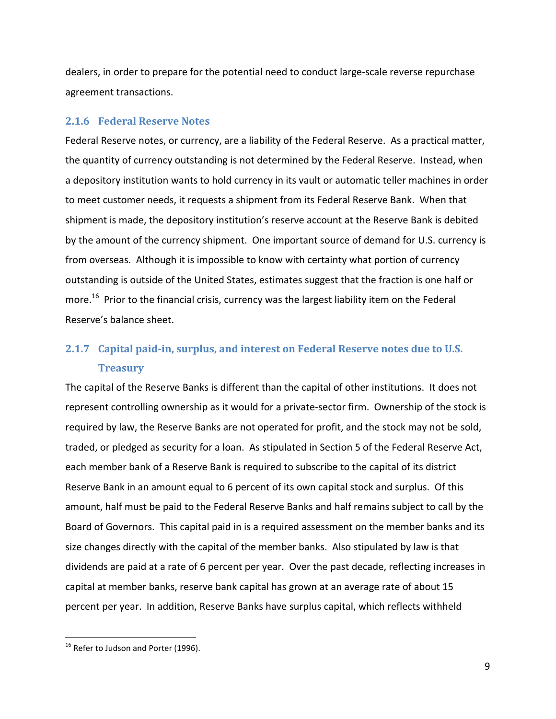dealers, in order to prepare for the potential need to conduct large‐scale reverse repurchase agreement transactions.

#### **2.1.6 Federal Reserve Notes**

Federal Reserve notes, or currency, are a liability of the Federal Reserve. As a practical matter, the quantity of currency outstanding is not determined by the Federal Reserve. Instead, when a depository institution wants to hold currency in its vault or automatic teller machines in order to meet customer needs, it requests a shipment from its Federal Reserve Bank. When that shipment is made, the depository institution's reserve account at the Reserve Bank is debited by the amount of the currency shipment. One important source of demand for U.S. currency is from overseas. Although it is impossible to know with certainty what portion of currency outstanding is outside of the United States, estimates suggest that the fraction is one half or more.<sup>16</sup> Prior to the financial crisis, currency was the largest liability item on the Federal Reserve's balance sheet.

# **2.1.7 Capital paidin, surplus, and interest on Federal Reserve notes due to U.S. Treasury**

The capital of the Reserve Banks is different than the capital of other institutions. It does not represent controlling ownership as it would for a private‐sector firm. Ownership of the stock is required by law, the Reserve Banks are not operated for profit, and the stock may not be sold, traded, or pledged as security for a loan. As stipulated in Section 5 of the Federal Reserve Act, each member bank of a Reserve Bank is required to subscribe to the capital of its district Reserve Bank in an amount equal to 6 percent of its own capital stock and surplus. Of this amount, half must be paid to the Federal Reserve Banks and half remains subject to call by the Board of Governors. This capital paid in is a required assessment on the member banks and its size changes directly with the capital of the member banks. Also stipulated by law is that dividends are paid at a rate of 6 percent per year. Over the past decade, reflecting increases in capital at member banks, reserve bank capital has grown at an average rate of about 15 percent per year. In addition, Reserve Banks have surplus capital, which reflects withheld

  $16$  Refer to Judson and Porter (1996).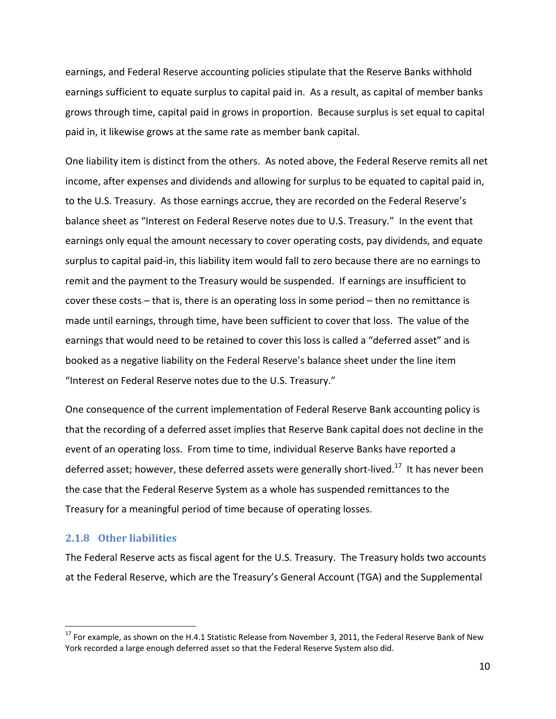earnings, and Federal Reserve accounting policies stipulate that the Reserve Banks withhold earnings sufficient to equate surplus to capital paid in. As a result, as capital of member banks grows through time, capital paid in grows in proportion. Because surplus is set equal to capital paid in, it likewise grows at the same rate as member bank capital.

One liability item is distinct from the others. As noted above, the Federal Reserve remits all net income, after expenses and dividends and allowing for surplus to be equated to capital paid in, to the U.S. Treasury. As those earnings accrue, they are recorded on the Federal Reserve's balance sheet as "Interest on Federal Reserve notes due to U.S. Treasury." In the event that earnings only equal the amount necessary to cover operating costs, pay dividends, and equate surplus to capital paid‐in, this liability item would fall to zero because there are no earnings to remit and the payment to the Treasury would be suspended. If earnings are insufficient to cover these costs – that is, there is an operating loss in some period – then no remittance is made until earnings, through time, have been sufficient to cover that loss. The value of the earnings that would need to be retained to cover this loss is called a "deferred asset" and is booked as a negative liability on the Federal Reserve's balance sheet under the line item "Interest on Federal Reserve notes due to the U.S. Treasury."

One consequence of the current implementation of Federal Reserve Bank accounting policy is that the recording of a deferred asset implies that Reserve Bank capital does not decline in the event of an operating loss. From time to time, individual Reserve Banks have reported a deferred asset; however, these deferred assets were generally short-lived.<sup>17</sup> It has never been the case that the Federal Reserve System as a whole has suspended remittances to the Treasury for a meaningful period of time because of operating losses.

#### **2.1.8 Other liabilities**

The Federal Reserve acts as fiscal agent for the U.S. Treasury. The Treasury holds two accounts at the Federal Reserve, which are the Treasury's General Account (TGA) and the Supplemental

 $^{17}$  For example, as shown on the H.4.1 Statistic Release from November 3, 2011, the Federal Reserve Bank of New York recorded a large enough deferred asset so that the Federal Reserve System also did.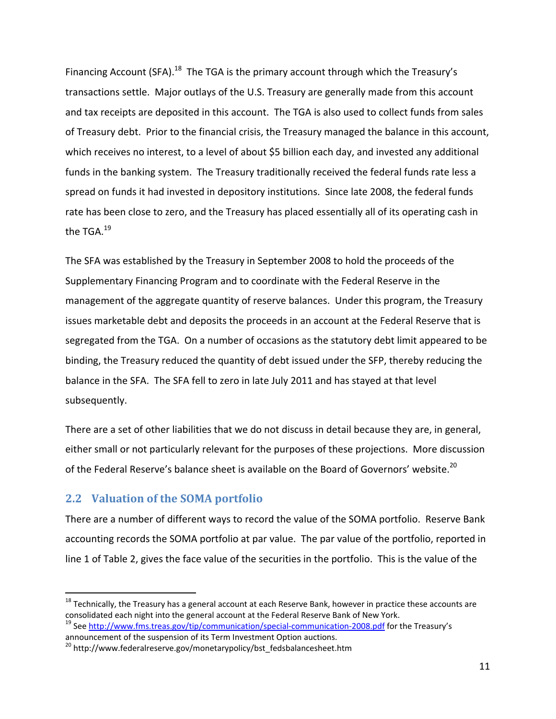Financing Account (SFA).<sup>18</sup> The TGA is the primary account through which the Treasury's transactions settle. Major outlays of the U.S. Treasury are generally made from this account and tax receipts are deposited in this account. The TGA is also used to collect funds from sales of Treasury debt. Prior to the financial crisis, the Treasury managed the balance in this account, which receives no interest, to a level of about \$5 billion each day, and invested any additional funds in the banking system. The Treasury traditionally received the federal funds rate less a spread on funds it had invested in depository institutions. Since late 2008, the federal funds rate has been close to zero, and the Treasury has placed essentially all of its operating cash in the TGA.<sup>19</sup>

The SFA was established by the Treasury in September 2008 to hold the proceeds of the Supplementary Financing Program and to coordinate with the Federal Reserve in the management of the aggregate quantity of reserve balances. Under this program, the Treasury issues marketable debt and deposits the proceeds in an account at the Federal Reserve that is segregated from the TGA. On a number of occasions as the statutory debt limit appeared to be binding, the Treasury reduced the quantity of debt issued under the SFP, thereby reducing the balance in the SFA. The SFA fell to zero in late July 2011 and has stayed at that level subsequently.

There are a set of other liabilities that we do not discuss in detail because they are, in general, either small or not particularly relevant for the purposes of these projections. More discussion of the Federal Reserve's balance sheet is available on the Board of Governors' website.<sup>20</sup>

# **2.2 Valuation of the SOMA portfolio**

There are a number of different ways to record the value of the SOMA portfolio. Reserve Bank accounting records the SOMA portfolio at par value. The par value of the portfolio, reported in line 1 of Table 2, gives the face value of the securities in the portfolio. This is the value of the

 $18$  Technically, the Treasury has a general account at each Reserve Bank, however in practice these accounts are consolidated each night into the general account at the Federal Reserve Bank of New York.

<sup>&</sup>lt;sup>19</sup> See http://www.fms.treas.gov/tip/communication/special-communication-2008.pdf for the Treasury's<br>announcement of the suspension of its Term Investment Option auctions.

<sup>&</sup>lt;sup>20</sup> http://www.federalreserve.gov/monetarypolicy/bst\_fedsbalancesheet.htm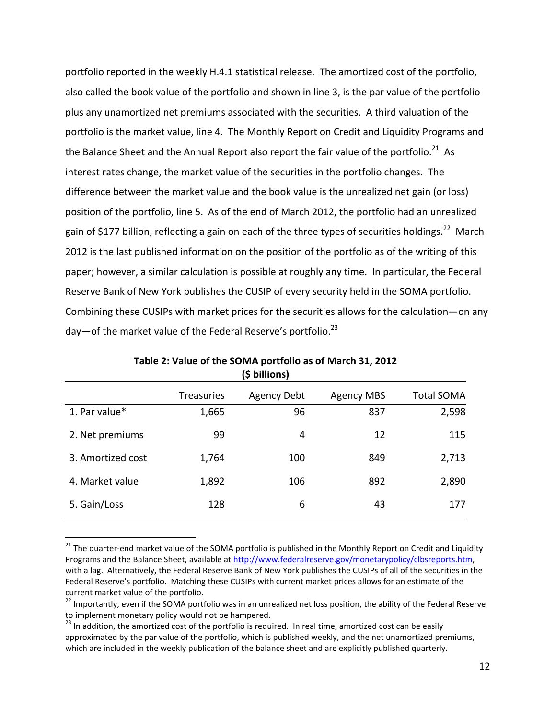portfolio reported in the weekly H.4.1 statistical release. The amortized cost of the portfolio, also called the book value of the portfolio and shown in line 3, is the par value of the portfolio plus any unamortized net premiums associated with the securities. A third valuation of the portfolio is the market value, line 4. The Monthly Report on Credit and Liquidity Programs and the Balance Sheet and the Annual Report also report the fair value of the portfolio.<sup>21</sup> As interest rates change, the market value of the securities in the portfolio changes. The difference between the market value and the book value is the unrealized net gain (or loss) position of the portfolio, line 5. As of the end of March 2012, the portfolio had an unrealized gain of \$177 billion, reflecting a gain on each of the three types of securities holdings.<sup>22</sup> March 2012 is the last published information on the position of the portfolio as of the writing of this paper; however, a similar calculation is possible at roughly any time. In particular, the Federal Reserve Bank of New York publishes the CUSIP of every security held in the SOMA portfolio. Combining these CUSIPs with market prices for the securities allows for the calculation—on any day—of the market value of the Federal Reserve's portfolio. $^{23}$ 

| וכווטוווט כו      |                   |                    |                   |                   |  |  |
|-------------------|-------------------|--------------------|-------------------|-------------------|--|--|
|                   | <b>Treasuries</b> | <b>Agency Debt</b> | <b>Agency MBS</b> | <b>Total SOMA</b> |  |  |
| 1. Par value*     | 1,665             | 96                 | 837               | 2,598             |  |  |
|                   |                   |                    |                   |                   |  |  |
| 2. Net premiums   | 99                | 4                  | 12                | 115               |  |  |
|                   |                   |                    |                   |                   |  |  |
| 3. Amortized cost | 1,764             | 100                | 849               | 2,713             |  |  |
|                   |                   |                    |                   |                   |  |  |
| 4. Market value   | 1,892             | 106                | 892               | 2,890             |  |  |
|                   |                   |                    |                   |                   |  |  |
| 5. Gain/Loss      | 128               | 6                  | 43                | 177               |  |  |
|                   |                   |                    |                   |                   |  |  |

**Table 2: Value of the SOMA portfolio as of March 31, 2012 (\$ billions)**

<sup>&</sup>lt;sup>21</sup> The quarter-end market value of the SOMA portfolio is published in the Monthly Report on Credit and Liquidity Programs and the Balance Sheet, available at http://www.federalreserve.gov/monetarypolicy/clbsreports.htm, with a lag. Alternatively, the Federal Reserve Bank of New York publishes the CUSIPs of all of the securities in the Federal Reserve's portfolio. Matching these CUSIPs with current market prices allows for an estimate of the current market value of the portfolio.<br><sup>22</sup> Importantly, even if the SOMA portfolio was in an unrealized net loss position, the ability of the Federal Reserve

to implement monetary policy would not be hampered.<br><sup>23</sup> In addition, the amortized cost of the portfolio is required. In real time, amortized cost can be easily

approximated by the par value of the portfolio, which is published weekly, and the net unamortized premiums, which are included in the weekly publication of the balance sheet and are explicitly published quarterly.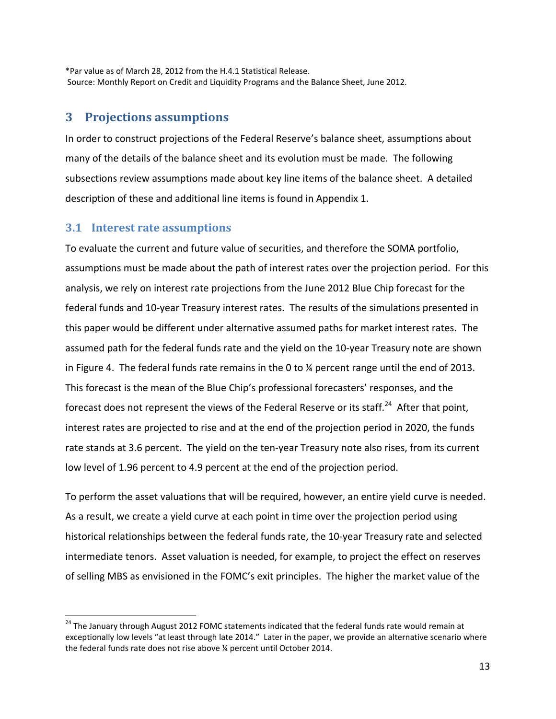\*Par value as of March 28, 2012 from the H.4.1 Statistical Release. Source: Monthly Report on Credit and Liquidity Programs and the Balance Sheet, June 2012.

# **3 Projections assumptions**

In order to construct projections of the Federal Reserve's balance sheet, assumptions about many of the details of the balance sheet and its evolution must be made. The following subsections review assumptions made about key line items of the balance sheet. A detailed description of these and additional line items is found in Appendix 1.

# **3.1 Interest rate assumptions**

To evaluate the current and future value of securities, and therefore the SOMA portfolio, assumptions must be made about the path of interest rates over the projection period. For this analysis, we rely on interest rate projections from the June 2012 Blue Chip forecast for the federal funds and 10‐year Treasury interest rates. The results of the simulations presented in this paper would be different under alternative assumed paths for market interest rates. The assumed path for the federal funds rate and the yield on the 10‐year Treasury note are shown in Figure 4. The federal funds rate remains in the 0 to ¼ percent range until the end of 2013. This forecast is the mean of the Blue Chip's professional forecasters' responses, and the forecast does not represent the views of the Federal Reserve or its staff.<sup>24</sup> After that point, interest rates are projected to rise and at the end of the projection period in 2020, the funds rate stands at 3.6 percent. The yield on the ten-year Treasury note also rises, from its current low level of 1.96 percent to 4.9 percent at the end of the projection period.

To perform the asset valuations that will be required, however, an entire yield curve is needed. As a result, we create a yield curve at each point in time over the projection period using historical relationships between the federal funds rate, the 10‐year Treasury rate and selected intermediate tenors. Asset valuation is needed, for example, to project the effect on reserves of selling MBS as envisioned in the FOMC's exit principles. The higher the market value of the

<sup>&</sup>lt;sup>24</sup> The January through August 2012 FOMC statements indicated that the federal funds rate would remain at exceptionally low levels "at least through late 2014." Later in the paper, we provide an alternative scenario where the federal funds rate does not rise above ¼ percent until October 2014.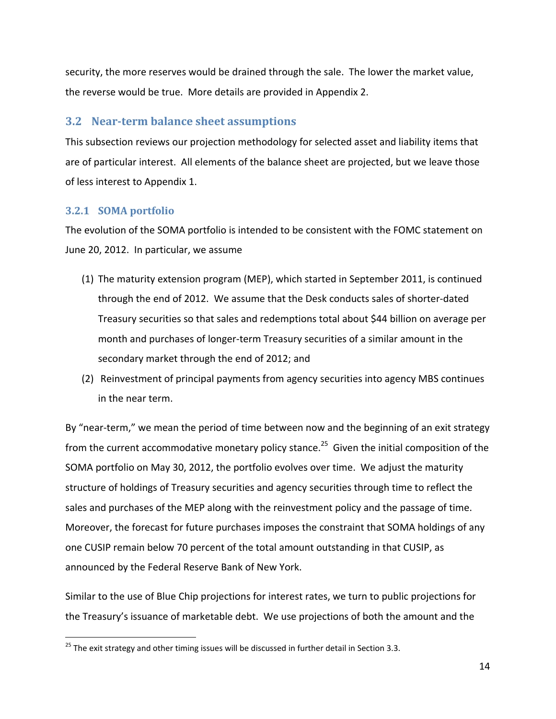security, the more reserves would be drained through the sale. The lower the market value, the reverse would be true. More details are provided in Appendix 2.

### **3.2 Nearterm balance sheet assumptions**

This subsection reviews our projection methodology for selected asset and liability items that are of particular interest. All elements of the balance sheet are projected, but we leave those of less interest to Appendix 1.

### **3.2.1 SOMA portfolio**

The evolution of the SOMA portfolio is intended to be consistent with the FOMC statement on June 20, 2012. In particular, we assume

- (1) The maturity extension program (MEP), which started in September 2011, is continued through the end of 2012. We assume that the Desk conducts sales of shorter‐dated Treasury securities so that sales and redemptions total about \$44 billion on average per month and purchases of longer‐term Treasury securities of a similar amount in the secondary market through the end of 2012; and
- (2) Reinvestment of principal payments from agency securities into agency MBS continues in the near term.

By "near-term," we mean the period of time between now and the beginning of an exit strategy from the current accommodative monetary policy stance.<sup>25</sup> Given the initial composition of the SOMA portfolio on May 30, 2012, the portfolio evolves over time. We adjust the maturity structure of holdings of Treasury securities and agency securities through time to reflect the sales and purchases of the MEP along with the reinvestment policy and the passage of time. Moreover, the forecast for future purchases imposes the constraint that SOMA holdings of any one CUSIP remain below 70 percent of the total amount outstanding in that CUSIP, as announced by the Federal Reserve Bank of New York.

Similar to the use of Blue Chip projections for interest rates, we turn to public projections for the Treasury's issuance of marketable debt. We use projections of both the amount and the

  $25$  The exit strategy and other timing issues will be discussed in further detail in Section 3.3.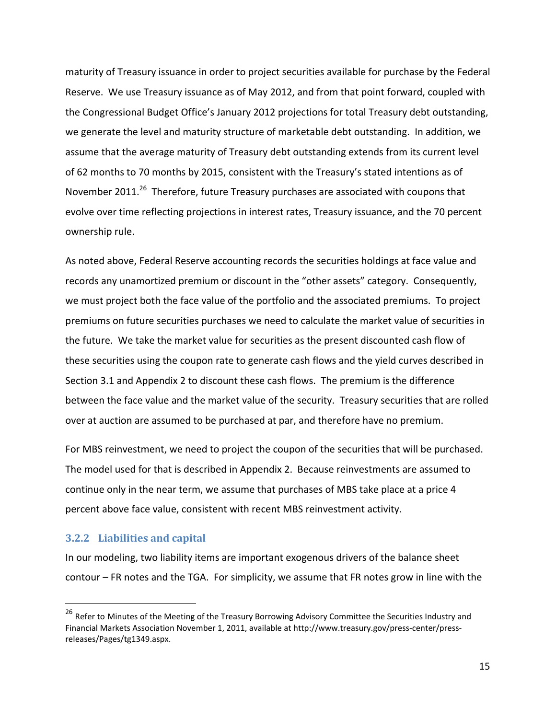maturity of Treasury issuance in order to project securities available for purchase by the Federal Reserve. We use Treasury issuance as of May 2012, and from that point forward, coupled with the Congressional Budget Office's January 2012 projections for total Treasury debt outstanding, we generate the level and maturity structure of marketable debt outstanding. In addition, we assume that the average maturity of Treasury debt outstanding extends from its current level of 62 months to 70 months by 2015, consistent with the Treasury's stated intentions as of November 2011.<sup>26</sup> Therefore, future Treasury purchases are associated with coupons that evolve over time reflecting projections in interest rates, Treasury issuance, and the 70 percent ownership rule.

As noted above, Federal Reserve accounting records the securities holdings at face value and records any unamortized premium or discount in the "other assets" category. Consequently, we must project both the face value of the portfolio and the associated premiums. To project premiums on future securities purchases we need to calculate the market value of securities in the future. We take the market value for securities as the present discounted cash flow of these securities using the coupon rate to generate cash flows and the yield curves described in Section 3.1 and Appendix 2 to discount these cash flows. The premium is the difference between the face value and the market value of the security. Treasury securities that are rolled over at auction are assumed to be purchased at par, and therefore have no premium.

For MBS reinvestment, we need to project the coupon of the securities that will be purchased. The model used for that is described in Appendix 2. Because reinvestments are assumed to continue only in the near term, we assume that purchases of MBS take place at a price 4 percent above face value, consistent with recent MBS reinvestment activity.

#### **3.2.2 Liabilities and capital**

In our modeling, two liability items are important exogenous drivers of the balance sheet contour – FR notes and the TGA. For simplicity, we assume that FR notes grow in line with the

<sup>&</sup>lt;sup>26</sup> Refer to Minutes of the Meeting of the Treasury Borrowing Advisory Committee the Securities Industry and Financial Markets Association November 1, 2011, available at http://www.treasury.gov/press‐center/press‐ releases/Pages/tg1349.aspx.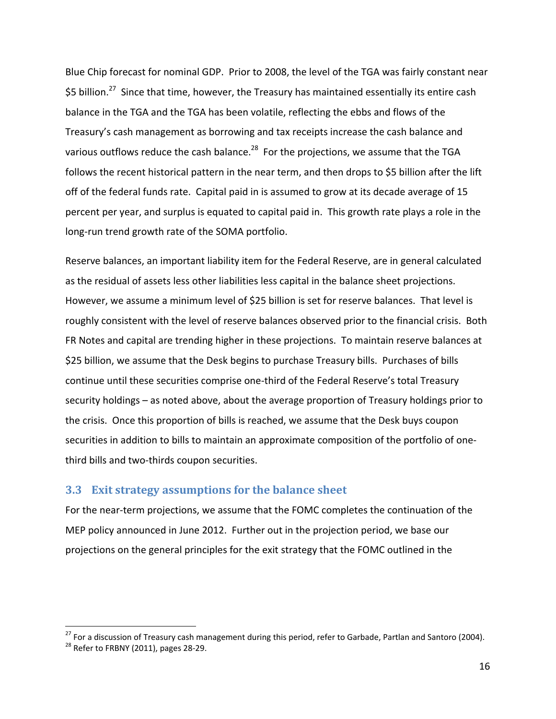Blue Chip forecast for nominal GDP. Prior to 2008, the level of the TGA was fairly constant near \$5 billion.<sup>27</sup> Since that time, however, the Treasury has maintained essentially its entire cash balance in the TGA and the TGA has been volatile, reflecting the ebbs and flows of the Treasury's cash management as borrowing and tax receipts increase the cash balance and various outflows reduce the cash balance.<sup>28</sup> For the projections, we assume that the TGA follows the recent historical pattern in the near term, and then drops to \$5 billion after the lift off of the federal funds rate. Capital paid in is assumed to grow at its decade average of 15 percent per year, and surplus is equated to capital paid in. This growth rate plays a role in the long‐run trend growth rate of the SOMA portfolio.

Reserve balances, an important liability item for the Federal Reserve, are in general calculated as the residual of assets less other liabilities less capital in the balance sheet projections. However, we assume a minimum level of \$25 billion is set for reserve balances. That level is roughly consistent with the level of reserve balances observed prior to the financial crisis. Both FR Notes and capital are trending higher in these projections. To maintain reserve balances at \$25 billion, we assume that the Desk begins to purchase Treasury bills. Purchases of bills continue until these securities comprise one‐third of the Federal Reserve's total Treasury security holdings – as noted above, about the average proportion of Treasury holdings prior to the crisis. Once this proportion of bills is reached, we assume that the Desk buys coupon securities in addition to bills to maintain an approximate composition of the portfolio of one‐ third bills and two‐thirds coupon securities.

### **3.3 Exit strategy assumptions for the balance sheet**

For the near-term projections, we assume that the FOMC completes the continuation of the MEP policy announced in June 2012. Further out in the projection period, we base our projections on the general principles for the exit strategy that the FOMC outlined in the

<sup>&</sup>lt;sup>27</sup> For a discussion of Treasury cash management during this period, refer to Garbade, Partlan and Santoro (2004).<br><sup>28</sup> Refer to FRBNY (2011), pages 28-29.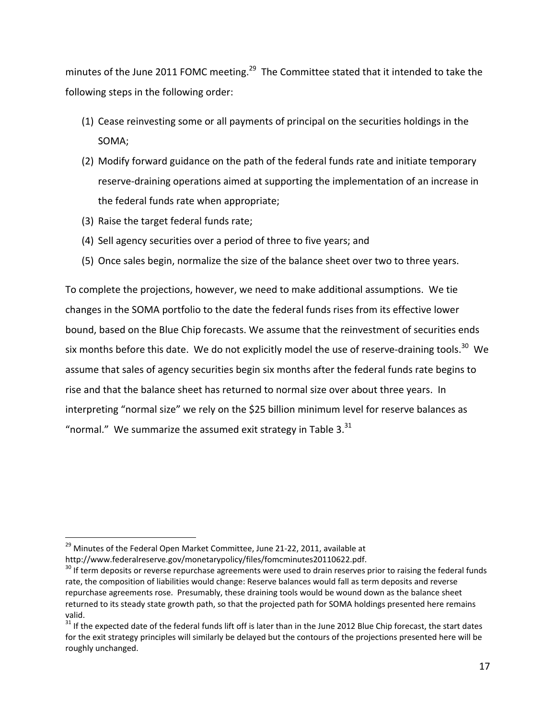minutes of the June 2011 FOMC meeting.<sup>29</sup> The Committee stated that it intended to take the following steps in the following order:

- (1) Cease reinvesting some or all payments of principal on the securities holdings in the SOMA;
- (2) Modify forward guidance on the path of the federal funds rate and initiate temporary reserve‐draining operations aimed at supporting the implementation of an increase in the federal funds rate when appropriate;
- (3) Raise the target federal funds rate;
- (4) Sell agency securities over a period of three to five years; and
- (5) Once sales begin, normalize the size of the balance sheet over two to three years.

To complete the projections, however, we need to make additional assumptions. We tie changes in the SOMA portfolio to the date the federal funds rises from its effective lower bound, based on the Blue Chip forecasts. We assume that the reinvestment of securities ends six months before this date. We do not explicitly model the use of reserve-draining tools.<sup>30</sup> We assume that sales of agency securities begin six months after the federal funds rate begins to rise and that the balance sheet has returned to normal size over about three years. In interpreting "normal size" we rely on the \$25 billion minimum level for reserve balances as "normal." We summarize the assumed exit strategy in Table 3. $31$ 

<sup>&</sup>lt;sup>29</sup> Minutes of the Federal Open Market Committee, June 21-22, 2011, available at http://www.federalreserve.gov/monetarypolicy/files/fomcminutes20110622.pdf.

<sup>&</sup>lt;sup>30</sup> If term deposits or reverse repurchase agreements were used to drain reserves prior to raising the federal funds rate, the composition of liabilities would change: Reserve balances would fall as term deposits and reverse repurchase agreements rose. Presumably, these draining tools would be wound down as the balance sheet returned to its steady state growth path, so that the projected path for SOMA holdings presented here remains valid.

<sup>&</sup>lt;sup>31</sup> If the expected date of the federal funds lift off is later than in the June 2012 Blue Chip forecast, the start dates for the exit strategy principles will similarly be delayed but the contours of the projections presented here will be roughly unchanged.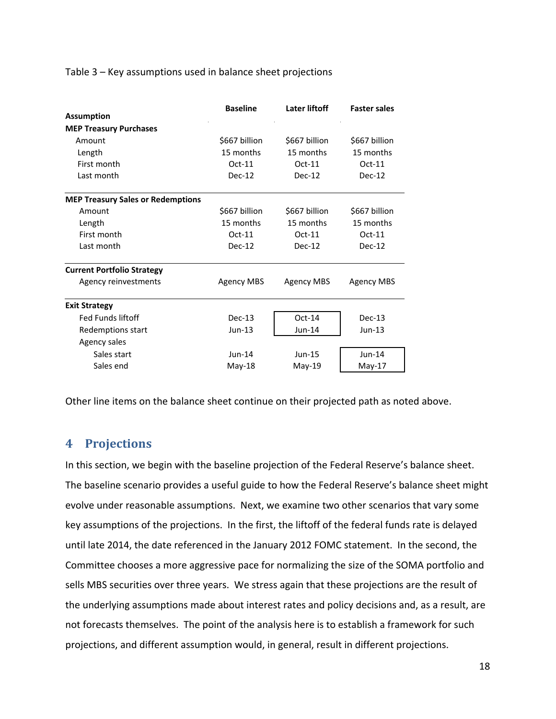Table 3 – Key assumptions used in balance sheet projections

| <b>Assumption</b>                        | <b>Baseline</b>   | <b>Later liftoff</b> | <b>Faster sales</b> |  |
|------------------------------------------|-------------------|----------------------|---------------------|--|
| <b>MEP Treasury Purchases</b>            |                   |                      |                     |  |
| Amount                                   | \$667 billion     | \$667 billion        | \$667 billion       |  |
|                                          |                   |                      |                     |  |
| Length                                   | 15 months         | 15 months            | 15 months           |  |
| First month                              | $Oct-11$          | $Oct-11$             | $Oct-11$            |  |
| Last month                               | $Dec-12$          | $Dec-12$             | Dec-12              |  |
| <b>MEP Treasury Sales or Redemptions</b> |                   |                      |                     |  |
| Amount                                   | \$667 billion     | \$667 billion        | \$667 billion       |  |
| Length                                   | 15 months         | 15 months            | 15 months           |  |
| First month                              | $Oct-11$          | $Oct-11$             | $Oct-11$            |  |
| Last month                               | $Dec-12$          | $Dec-12$             | Dec-12              |  |
| <b>Current Portfolio Strategy</b>        |                   |                      |                     |  |
| Agency reinvestments                     | <b>Agency MBS</b> | <b>Agency MBS</b>    | <b>Agency MBS</b>   |  |
| <b>Exit Strategy</b>                     |                   |                      |                     |  |
| <b>Fed Funds liftoff</b>                 | $Dec-13$          | $Oct-14$             | $Dec-13$            |  |
| Redemptions start                        | $Jun-13$          | $Jun-14$             | $Jun-13$            |  |
| <b>Agency sales</b>                      |                   |                      |                     |  |
| Sales start                              | $Jun-14$          | $Jun-15$             | $Jun-14$            |  |
| Sales end                                | May-18            | May-19               | May-17              |  |

Other line items on the balance sheet continue on their projected path as noted above.

# **4 Projections**

In this section, we begin with the baseline projection of the Federal Reserve's balance sheet. The baseline scenario provides a useful guide to how the Federal Reserve's balance sheet might evolve under reasonable assumptions. Next, we examine two other scenarios that vary some key assumptions of the projections. In the first, the liftoff of the federal funds rate is delayed until late 2014, the date referenced in the January 2012 FOMC statement. In the second, the Committee chooses a more aggressive pace for normalizing the size of the SOMA portfolio and sells MBS securities over three years. We stress again that these projections are the result of the underlying assumptions made about interest rates and policy decisions and, as a result, are not forecasts themselves. The point of the analysis here is to establish a framework for such projections, and different assumption would, in general, result in different projections.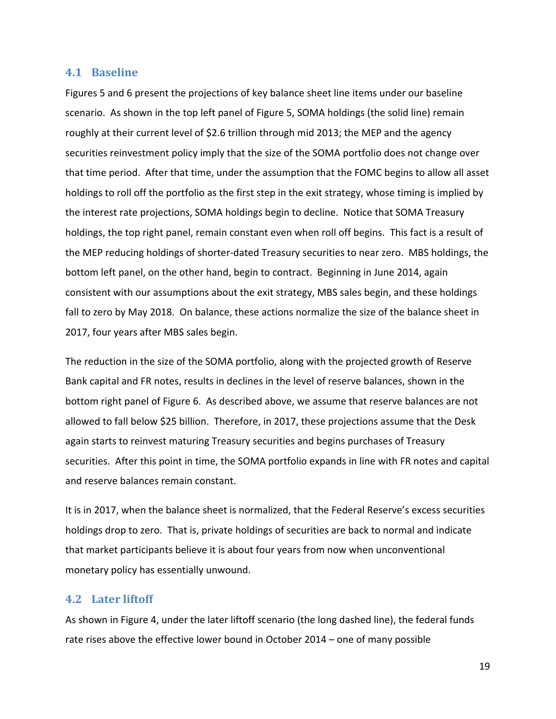#### **4.1 Baseline**

Figures 5 and 6 present the projections of key balance sheet line items under our baseline scenario. As shown in the top left panel of Figure 5, SOMA holdings (the solid line) remain roughly at their current level of \$2.6 trillion through mid 2013; the MEP and the agency securities reinvestment policy imply that the size of the SOMA portfolio does not change over that time period. After that time, under the assumption that the FOMC begins to allow all asset holdings to roll off the portfolio as the first step in the exit strategy, whose timing is implied by the interest rate projections, SOMA holdings begin to decline. Notice that SOMA Treasury holdings, the top right panel, remain constant even when roll off begins. This fact is a result of the MEP reducing holdings of shorter‐dated Treasury securities to near zero. MBS holdings, the bottom left panel, on the other hand, begin to contract. Beginning in June 2014, again consistent with our assumptions about the exit strategy, MBS sales begin, and these holdings fall to zero by May 2018. On balance, these actions normalize the size of the balance sheet in 2017, four years after MBS sales begin.

The reduction in the size of the SOMA portfolio, along with the projected growth of Reserve Bank capital and FR notes, results in declines in the level of reserve balances, shown in the bottom right panel of Figure 6. As described above, we assume that reserve balances are not allowed to fall below \$25 billion. Therefore, in 2017, these projections assume that the Desk again starts to reinvest maturing Treasury securities and begins purchases of Treasury securities. After this point in time, the SOMA portfolio expands in line with FR notes and capital and reserve balances remain constant.

It is in 2017, when the balance sheet is normalized, that the Federal Reserve's excess securities holdings drop to zero. That is, private holdings of securities are back to normal and indicate that market participants believe it is about four years from now when unconventional monetary policy has essentially unwound.

# **4.2 Later liftoff**

As shown in Figure 4, under the later liftoff scenario (the long dashed line), the federal funds rate rises above the effective lower bound in October 2014 – one of many possible

19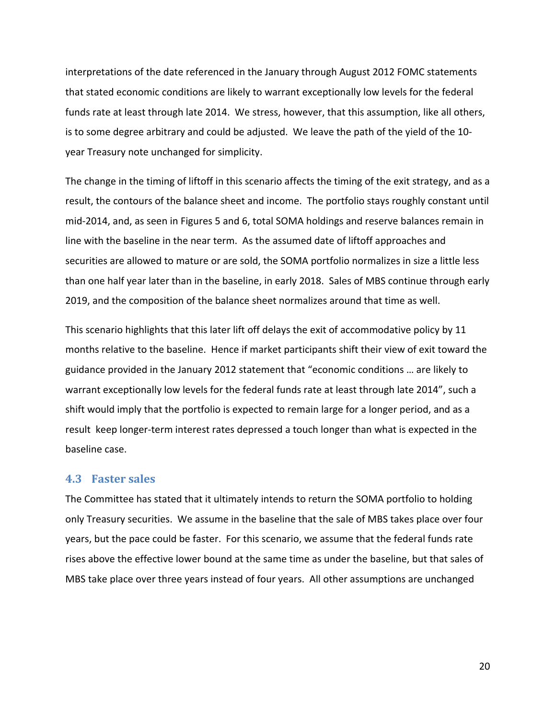interpretations of the date referenced in the January through August 2012 FOMC statements that stated economic conditions are likely to warrant exceptionally low levels for the federal funds rate at least through late 2014. We stress, however, that this assumption, like all others, is to some degree arbitrary and could be adjusted. We leave the path of the yield of the 10‐ year Treasury note unchanged for simplicity.

The change in the timing of liftoff in this scenario affects the timing of the exit strategy, and as a result, the contours of the balance sheet and income. The portfolio stays roughly constant until mid‐2014, and, as seen in Figures 5 and 6, total SOMA holdings and reserve balances remain in line with the baseline in the near term. As the assumed date of liftoff approaches and securities are allowed to mature or are sold, the SOMA portfolio normalizes in size a little less than one half year later than in the baseline, in early 2018. Sales of MBS continue through early 2019, and the composition of the balance sheet normalizes around that time as well.

This scenario highlights that this later lift off delays the exit of accommodative policy by 11 months relative to the baseline. Hence if market participants shift their view of exit toward the guidance provided in the January 2012 statement that "economic conditions … are likely to warrant exceptionally low levels for the federal funds rate at least through late 2014", such a shift would imply that the portfolio is expected to remain large for a longer period, and as a result keep longer‐term interest rates depressed a touch longer than what is expected in the baseline case.

### **4.3 Faster sales**

The Committee has stated that it ultimately intends to return the SOMA portfolio to holding only Treasury securities. We assume in the baseline that the sale of MBS takes place over four years, but the pace could be faster. For this scenario, we assume that the federal funds rate rises above the effective lower bound at the same time as under the baseline, but that sales of MBS take place over three years instead of four years. All other assumptions are unchanged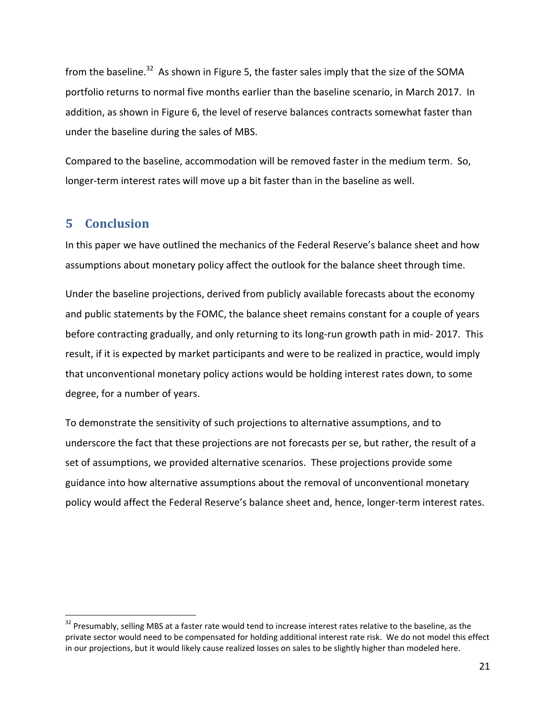from the baseline.<sup>32</sup> As shown in Figure 5, the faster sales imply that the size of the SOMA portfolio returns to normal five months earlier than the baseline scenario, in March 2017. In addition, as shown in Figure 6, the level of reserve balances contracts somewhat faster than under the baseline during the sales of MBS.

Compared to the baseline, accommodation will be removed faster in the medium term. So, longer-term interest rates will move up a bit faster than in the baseline as well.

# **5 Conclusion**

In this paper we have outlined the mechanics of the Federal Reserve's balance sheet and how assumptions about monetary policy affect the outlook for the balance sheet through time.

Under the baseline projections, derived from publicly available forecasts about the economy and public statements by the FOMC, the balance sheet remains constant for a couple of years before contracting gradually, and only returning to its long-run growth path in mid-2017. This result, if it is expected by market participants and were to be realized in practice, would imply that unconventional monetary policy actions would be holding interest rates down, to some degree, for a number of years.

To demonstrate the sensitivity of such projections to alternative assumptions, and to underscore the fact that these projections are not forecasts per se, but rather, the result of a set of assumptions, we provided alternative scenarios. These projections provide some guidance into how alternative assumptions about the removal of unconventional monetary policy would affect the Federal Reserve's balance sheet and, hence, longer‐term interest rates.

<sup>&</sup>lt;sup>32</sup> Presumably, selling MBS at a faster rate would tend to increase interest rates relative to the baseline, as the private sector would need to be compensated for holding additional interest rate risk. We do not model this effect in our projections, but it would likely cause realized losses on sales to be slightly higher than modeled here.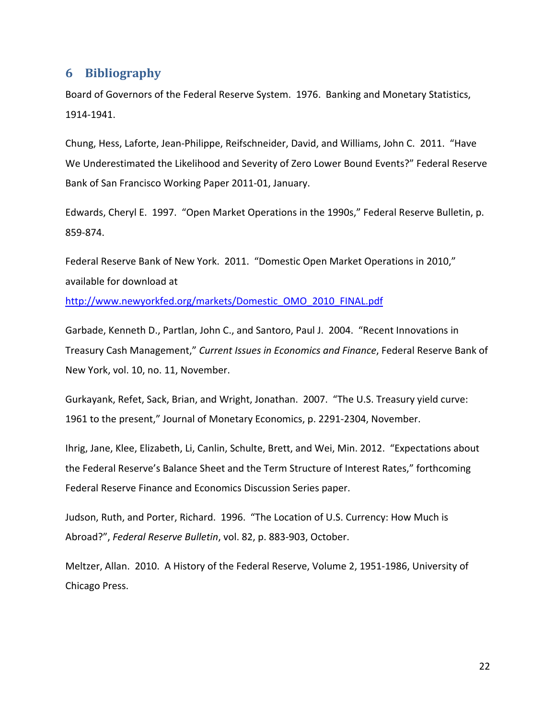# **6 Bibliography**

Board of Governors of the Federal Reserve System. 1976. Banking and Monetary Statistics, 1914‐1941.

Chung, Hess, Laforte, Jean‐Philippe, Reifschneider, David, and Williams, John C. 2011. "Have We Underestimated the Likelihood and Severity of Zero Lower Bound Events?" Federal Reserve Bank of San Francisco Working Paper 2011‐01, January.

Edwards, Cheryl E. 1997. "Open Market Operations in the 1990s," Federal Reserve Bulletin, p. 859‐874.

Federal Reserve Bank of New York. 2011. "Domestic Open Market Operations in 2010," available for download at

http://www.newyorkfed.org/markets/Domestic\_OMO\_2010\_FINAL.pdf

Garbade, Kenneth D., Partlan, John C., and Santoro, Paul J. 2004. "Recent Innovations in Treasury Cash Management," *Current Issues in Economics and Finance*, Federal Reserve Bank of New York, vol. 10, no. 11, November.

Gurkayank, Refet, Sack, Brian, and Wright, Jonathan. 2007. "The U.S. Treasury yield curve: 1961 to the present," Journal of Monetary Economics, p. 2291‐2304, November.

Ihrig, Jane, Klee, Elizabeth, Li, Canlin, Schulte, Brett, and Wei, Min. 2012. "Expectations about the Federal Reserve's Balance Sheet and the Term Structure of Interest Rates," forthcoming Federal Reserve Finance and Economics Discussion Series paper.

Judson, Ruth, and Porter, Richard. 1996. "The Location of U.S. Currency: How Much is Abroad?", *Federal Reserve Bulletin*, vol. 82, p. 883‐903, October.

Meltzer, Allan. 2010. A History of the Federal Reserve, Volume 2, 1951‐1986, University of Chicago Press.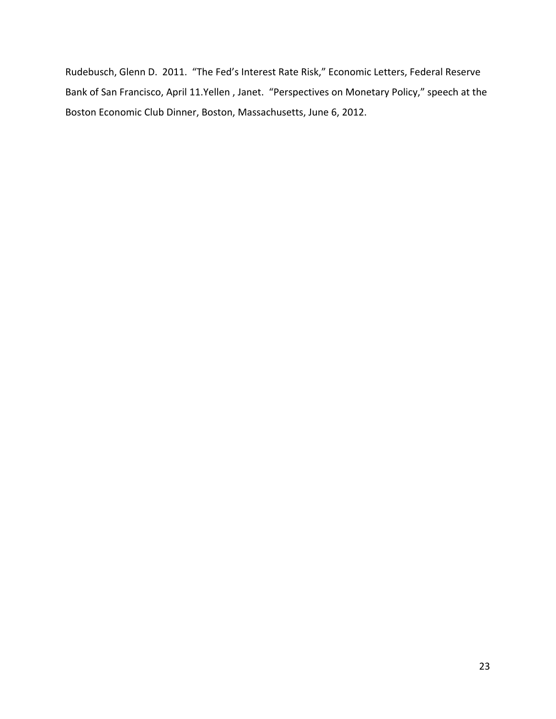Rudebusch, Glenn D. 2011. "The Fed's Interest Rate Risk," Economic Letters, Federal Reserve Bank of San Francisco, April 11.Yellen , Janet. "Perspectives on Monetary Policy," speech at the Boston Economic Club Dinner, Boston, Massachusetts, June 6, 2012.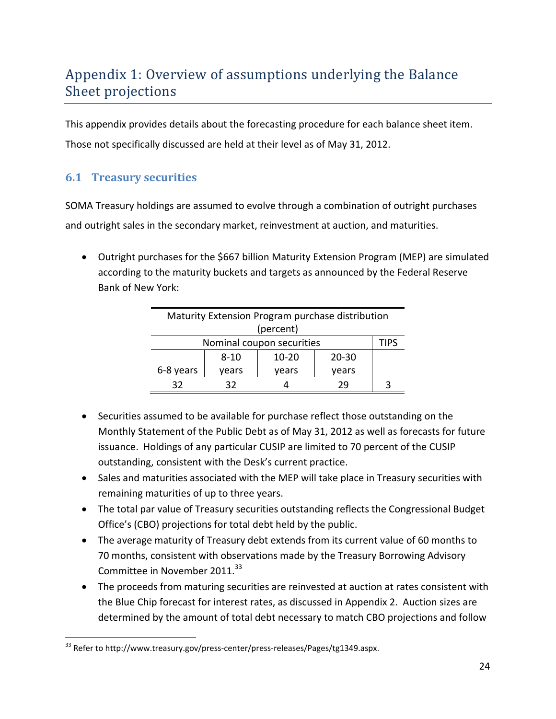# Appendix 1: Overview of assumptions underlying the Balance Sheet projections

This appendix provides details about the forecasting procedure for each balance sheet item. Those not specifically discussed are held at their level as of May 31, 2012.

# **6.1 Treasury securities**

SOMA Treasury holdings are assumed to evolve through a combination of outright purchases and outright sales in the secondary market, reinvestment at auction, and maturities.

 Outright purchases for the \$667 billion Maturity Extension Program (MEP) are simulated according to the maturity buckets and targets as announced by the Federal Reserve Bank of New York:

| Maturity Extension Program purchase distribution |          |           |           |  |  |  |
|--------------------------------------------------|----------|-----------|-----------|--|--|--|
| (percent)                                        |          |           |           |  |  |  |
| Nominal coupon securities                        |          |           |           |  |  |  |
|                                                  | $8 - 10$ | $10 - 20$ | $20 - 30$ |  |  |  |
| 6-8 years                                        | vears    | vears     | vears     |  |  |  |
| 32                                               | 32       |           | 29        |  |  |  |

- Securities assumed to be available for purchase reflect those outstanding on the Monthly Statement of the Public Debt as of May 31, 2012 as well as forecasts for future issuance. Holdings of any particular CUSIP are limited to 70 percent of the CUSIP outstanding, consistent with the Desk's current practice.
- Sales and maturities associated with the MEP will take place in Treasury securities with remaining maturities of up to three years.
- The total par value of Treasury securities outstanding reflects the Congressional Budget Office's (CBO) projections for total debt held by the public.
- The average maturity of Treasury debt extends from its current value of 60 months to 70 months, consistent with observations made by the Treasury Borrowing Advisory Committee in November 2011.<sup>33</sup>
- The proceeds from maturing securities are reinvested at auction at rates consistent with the Blue Chip forecast for interest rates, as discussed in Appendix 2. Auction sizes are determined by the amount of total debt necessary to match CBO projections and follow

 33 Refer to http://www.treasury.gov/press-center/press-releases/Pages/tg1349.aspx.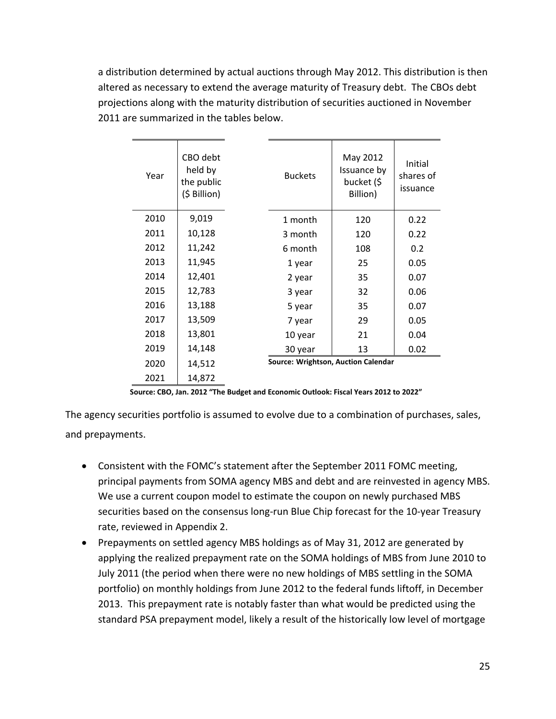a distribution determined by actual auctions through May 2012. This distribution is then altered as necessary to extend the average maturity of Treasury debt. The CBOs debt projections along with the maturity distribution of securities auctioned in November 2011 are summarized in the tables below.

| Year | CBO debt<br>held by<br>the public<br>(\$ Billion) | <b>Buckets</b>                      | May 2012<br>Issuance by<br>bucket (\$<br>Billion) | Initial<br>shares of<br>issuance |
|------|---------------------------------------------------|-------------------------------------|---------------------------------------------------|----------------------------------|
| 2010 | 9,019                                             | 1 month                             | 120                                               | 0.22                             |
| 2011 | 10,128                                            | 3 month                             | 120                                               | 0.22                             |
| 2012 | 11,242                                            | 6 month                             | 108                                               | 0.2                              |
| 2013 | 11,945                                            | 1 year                              | 25                                                | 0.05                             |
| 2014 | 12,401                                            | 2 year                              | 35                                                | 0.07                             |
| 2015 | 12,783                                            | 3 year                              | 32                                                | 0.06                             |
| 2016 | 13,188                                            | 5 year                              | 35                                                | 0.07                             |
| 2017 | 13,509                                            | 7 year                              | 29                                                | 0.05                             |
| 2018 | 13,801                                            | 10 year                             | 21                                                | 0.04                             |
| 2019 | 14,148                                            | 30 year                             | 13                                                | 0.02                             |
| 2020 | 14,512                                            | Source: Wrightson, Auction Calendar |                                                   |                                  |
| 2021 | 14,872                                            |                                     |                                                   |                                  |

 **Source: CBO, Jan. 2012 "The Budget and Economic Outlook: Fiscal Years 2012 to 2022"**

The agency securities portfolio is assumed to evolve due to a combination of purchases, sales, and prepayments.

- Consistent with the FOMC's statement after the September 2011 FOMC meeting, principal payments from SOMA agency MBS and debt and are reinvested in agency MBS. We use a current coupon model to estimate the coupon on newly purchased MBS securities based on the consensus long-run Blue Chip forecast for the 10-year Treasury rate, reviewed in Appendix 2.
- Prepayments on settled agency MBS holdings as of May 31, 2012 are generated by applying the realized prepayment rate on the SOMA holdings of MBS from June 2010 to July 2011 (the period when there were no new holdings of MBS settling in the SOMA portfolio) on monthly holdings from June 2012 to the federal funds liftoff, in December 2013. This prepayment rate is notably faster than what would be predicted using the standard PSA prepayment model, likely a result of the historically low level of mortgage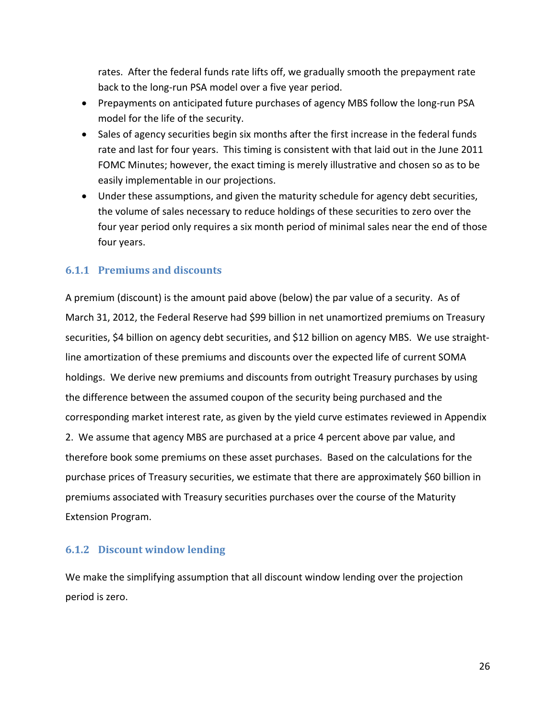rates. After the federal funds rate lifts off, we gradually smooth the prepayment rate back to the long‐run PSA model over a five year period.

- Prepayments on anticipated future purchases of agency MBS follow the long-run PSA model for the life of the security.
- Sales of agency securities begin six months after the first increase in the federal funds rate and last for four years. This timing is consistent with that laid out in the June 2011 FOMC Minutes; however, the exact timing is merely illustrative and chosen so as to be easily implementable in our projections.
- Under these assumptions, and given the maturity schedule for agency debt securities, the volume of sales necessary to reduce holdings of these securities to zero over the four year period only requires a six month period of minimal sales near the end of those four years.

### **6.1.1 Premiums and discounts**

A premium (discount) is the amount paid above (below) the par value of a security. As of March 31, 2012, the Federal Reserve had \$99 billion in net unamortized premiums on Treasury securities, \$4 billion on agency debt securities, and \$12 billion on agency MBS. We use straightline amortization of these premiums and discounts over the expected life of current SOMA holdings. We derive new premiums and discounts from outright Treasury purchases by using the difference between the assumed coupon of the security being purchased and the corresponding market interest rate, as given by the yield curve estimates reviewed in Appendix 2. We assume that agency MBS are purchased at a price 4 percent above par value, and therefore book some premiums on these asset purchases. Based on the calculations for the purchase prices of Treasury securities, we estimate that there are approximately \$60 billion in premiums associated with Treasury securities purchases over the course of the Maturity Extension Program.

### **6.1.2 Discount window lending**

We make the simplifying assumption that all discount window lending over the projection period is zero.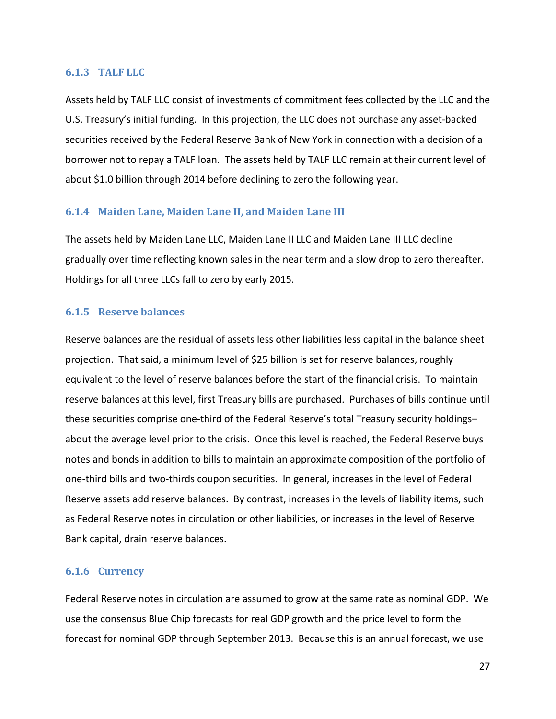#### **6.1.3 TALF LLC**

Assets held by TALF LLC consist of investments of commitment fees collected by the LLC and the U.S. Treasury's initial funding. In this projection, the LLC does not purchase any asset‐backed securities received by the Federal Reserve Bank of New York in connection with a decision of a borrower not to repay a TALF loan. The assets held by TALF LLC remain at their current level of about \$1.0 billion through 2014 before declining to zero the following year.

### **6.1.4 Maiden Lane, Maiden Lane II, and Maiden Lane III**

The assets held by Maiden Lane LLC, Maiden Lane II LLC and Maiden Lane III LLC decline gradually over time reflecting known sales in the near term and a slow drop to zero thereafter. Holdings for all three LLCs fall to zero by early 2015.

### **6.1.5 Reserve balances**

Reserve balances are the residual of assets less other liabilities less capital in the balance sheet projection. That said, a minimum level of \$25 billion is set for reserve balances, roughly equivalent to the level of reserve balances before the start of the financial crisis. To maintain reserve balances at this level, first Treasury bills are purchased. Purchases of bills continue until these securities comprise one‐third of the Federal Reserve's total Treasury security holdings– about the average level prior to the crisis. Once this level is reached, the Federal Reserve buys notes and bonds in addition to bills to maintain an approximate composition of the portfolio of one-third bills and two-thirds coupon securities. In general, increases in the level of Federal Reserve assets add reserve balances. By contrast, increases in the levels of liability items, such as Federal Reserve notes in circulation or other liabilities, or increases in the level of Reserve Bank capital, drain reserve balances.

### **6.1.6 Currency**

Federal Reserve notes in circulation are assumed to grow at the same rate as nominal GDP. We use the consensus Blue Chip forecasts for real GDP growth and the price level to form the forecast for nominal GDP through September 2013. Because this is an annual forecast, we use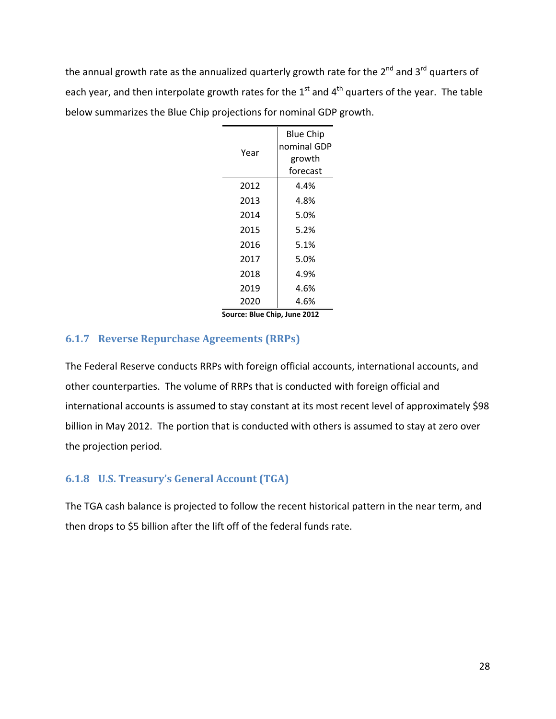the annual growth rate as the annualized quarterly growth rate for the  $2^{nd}$  and  $3^{rd}$  quarters of each year, and then interpolate growth rates for the  $1<sup>st</sup>$  and  $4<sup>th</sup>$  quarters of the year. The table below summarizes the Blue Chip projections for nominal GDP growth.

|      | <b>Blue Chip</b> |  |  |  |
|------|------------------|--|--|--|
| Year | nominal GDP      |  |  |  |
|      | growth           |  |  |  |
|      | forecast         |  |  |  |
| 2012 | 4.4%             |  |  |  |
| 2013 | 4.8%             |  |  |  |
| 2014 | 5.0%             |  |  |  |
| 2015 | 5.2%             |  |  |  |
| 2016 | 5.1%             |  |  |  |
| 2017 | 5.0%             |  |  |  |
| 2018 | 4.9%             |  |  |  |
| 2019 | 4.6%             |  |  |  |
| 2020 | 4.6%             |  |  |  |

 **Source: Blue Chip, June 2012**

# **6.1.7 Reverse Repurchase Agreements (RRPs)**

The Federal Reserve conducts RRPs with foreign official accounts, international accounts, and other counterparties. The volume of RRPs that is conducted with foreign official and international accounts is assumed to stay constant at its most recent level of approximately \$98 billion in May 2012. The portion that is conducted with others is assumed to stay at zero over the projection period.

# **6.1.8 U.S. Treasury's General Account (TGA)**

The TGA cash balance is projected to follow the recent historical pattern in the near term, and then drops to \$5 billion after the lift off of the federal funds rate.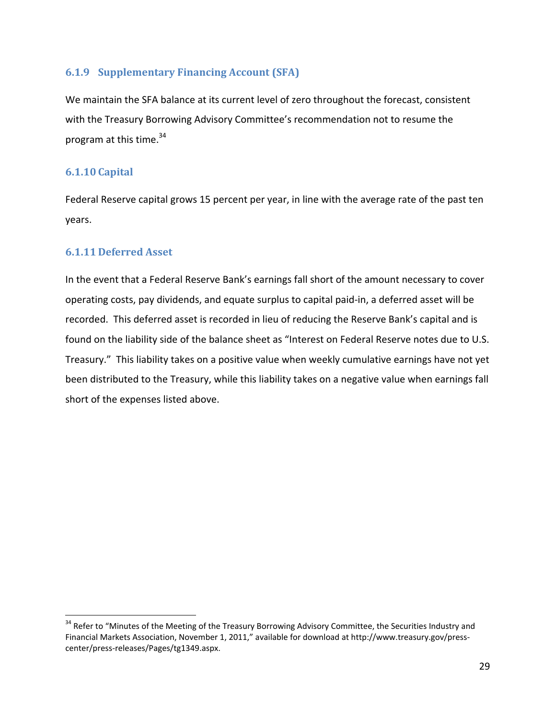### **6.1.9 Supplementary Financing Account (SFA)**

We maintain the SFA balance at its current level of zero throughout the forecast, consistent with the Treasury Borrowing Advisory Committee's recommendation not to resume the program at this time.<sup>34</sup>

### **6.1.10 Capital**

Federal Reserve capital grows 15 percent per year, in line with the average rate of the past ten years.

### **6.1.11 Deferred Asset**

In the event that a Federal Reserve Bank's earnings fall short of the amount necessary to cover operating costs, pay dividends, and equate surplus to capital paid‐in, a deferred asset will be recorded. This deferred asset is recorded in lieu of reducing the Reserve Bank's capital and is found on the liability side of the balance sheet as "Interest on Federal Reserve notes due to U.S. Treasury." This liability takes on a positive value when weekly cumulative earnings have not yet been distributed to the Treasury, while this liability takes on a negative value when earnings fall short of the expenses listed above.

<sup>&</sup>lt;sup>34</sup> Refer to "Minutes of the Meeting of the Treasury Borrowing Advisory Committee, the Securities Industry and Financial Markets Association, November 1, 2011," available for download at http://www.treasury.gov/press‐ center/press‐releases/Pages/tg1349.aspx.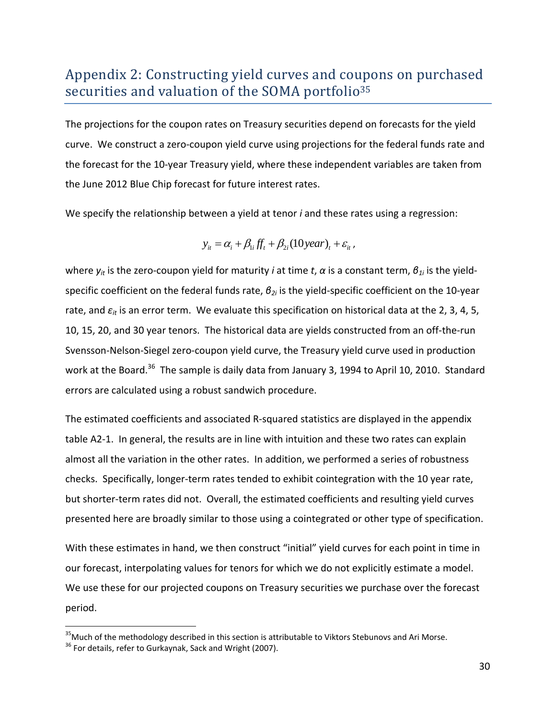# Appendix 2: Constructing yield curves and coupons on purchased securities and valuation of the SOMA portfolio<sup>35</sup>

The projections for the coupon rates on Treasury securities depend on forecasts for the yield curve. We construct a zero‐coupon yield curve using projections for the federal funds rate and the forecast for the 10‐year Treasury yield, where these independent variables are taken from the June 2012 Blue Chip forecast for future interest rates.

We specify the relationship between a yield at tenor *i* and these rates using a regression:

$$
y_{it} = \alpha_i + \beta_{1i} f f_t + \beta_{2i} (10 \text{ year})_t + \varepsilon_{it},
$$

where  $y_{it}$  is the zero-coupon yield for maturity *i* at time *t*,  $\alpha$  is a constant term,  $\beta_{1i}$  is the yieldspecific coefficient on the federal funds rate, *β2i* is the yield‐specific coefficient on the 10‐year rate, and *εit* is an error term. We evaluate this specification on historical data at the 2, 3, 4, 5, 10, 15, 20, and 30 year tenors. The historical data are yields constructed from an off‐the‐run Svensson‐Nelson‐Siegel zero‐coupon yield curve, the Treasury yield curve used in production work at the Board.<sup>36</sup> The sample is daily data from January 3, 1994 to April 10, 2010. Standard errors are calculated using a robust sandwich procedure.

The estimated coefficients and associated R‐squared statistics are displayed in the appendix table A2-1. In general, the results are in line with intuition and these two rates can explain almost all the variation in the other rates. In addition, we performed a series of robustness checks. Specifically, longer‐term rates tended to exhibit cointegration with the 10 year rate, but shorter‐term rates did not. Overall, the estimated coefficients and resulting yield curves presented here are broadly similar to those using a cointegrated or other type of specification.

With these estimates in hand, we then construct "initial" yield curves for each point in time in our forecast, interpolating values for tenors for which we do not explicitly estimate a model. We use these for our projected coupons on Treasury securities we purchase over the forecast period.

<sup>&</sup>lt;sup>35</sup>Much of the methodology described in this section is attributable to Viktors Stebunovs and Ari Morse.<br><sup>36</sup> For details, refer to Gurkaynak, Sack and Wright (2007).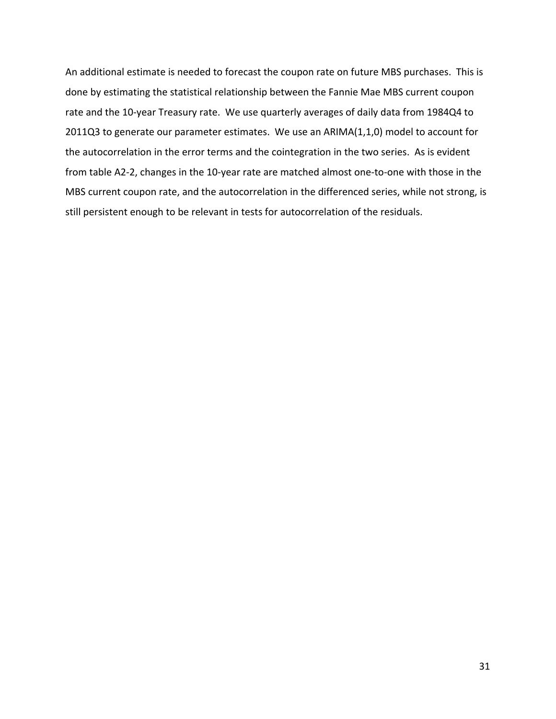An additional estimate is needed to forecast the coupon rate on future MBS purchases. This is done by estimating the statistical relationship between the Fannie Mae MBS current coupon rate and the 10‐year Treasury rate. We use quarterly averages of daily data from 1984Q4 to 2011Q3 to generate our parameter estimates. We use an ARIMA(1,1,0) model to account for the autocorrelation in the error terms and the cointegration in the two series. As is evident from table A2‐2, changes in the 10‐year rate are matched almost one‐to‐one with those in the MBS current coupon rate, and the autocorrelation in the differenced series, while not strong, is still persistent enough to be relevant in tests for autocorrelation of the residuals.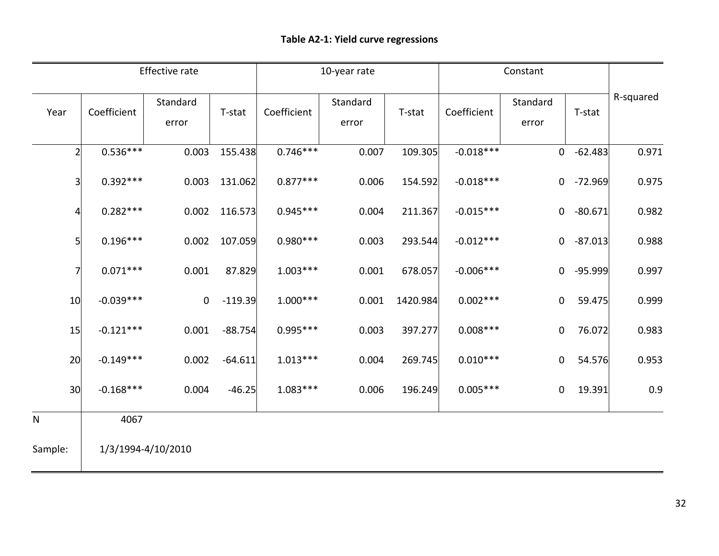#### **Table A2‐1: Yield curve regressions**

| <b>Effective rate</b> |             |                    | 10-year rate |             | Constant          |          |             |                   |           |           |
|-----------------------|-------------|--------------------|--------------|-------------|-------------------|----------|-------------|-------------------|-----------|-----------|
| Year                  | Coefficient | Standard<br>error  | T-stat       | Coefficient | Standard<br>error | T-stat   | Coefficient | Standard<br>error | T-stat    | R-squared |
| $\overline{2}$        | $0.536***$  | 0.003              | 155.438      | $0.746***$  | 0.007             | 109.305  | $-0.018***$ | $\overline{0}$    | $-62.483$ | 0.971     |
| 3                     | $0.392***$  | 0.003              | 131.062      | $0.877***$  | 0.006             | 154.592  | $-0.018***$ | $\overline{0}$    | $-72.969$ | 0.975     |
|                       | $0.282***$  | 0.002              | 116.573      | $0.945***$  | 0.004             | 211.367  | $-0.015***$ | $\mathbf{0}$      | $-80.671$ | 0.982     |
|                       | $0.196***$  | 0.002              | 107.059      | $0.980***$  | 0.003             | 293.544  | $-0.012***$ | $\mathbf{0}$      | $-87.013$ | 0.988     |
|                       | $0.071***$  | 0.001              | 87.829       | $1.003***$  | 0.001             | 678.057  | $-0.006***$ | $\overline{0}$    | $-95.999$ | 0.997     |
| 10                    | $-0.039***$ | $\mathbf 0$        | $-119.39$    | $1.000***$  | 0.001             | 1420.984 | $0.002***$  | $\mathbf 0$       | 59.475    | 0.999     |
| 15                    | $-0.121***$ | 0.001              | $-88.754$    | $0.995***$  | 0.003             | 397.277  | $0.008***$  | $\mathbf 0$       | 76.072    | 0.983     |
| 20                    | $-0.149***$ | 0.002              | $-64.611$    | $1.013***$  | 0.004             | 269.745  | $0.010***$  | 0                 | 54.576    | 0.953     |
| 30                    | $-0.168***$ | 0.004              | $-46.25$     | $1.083***$  | 0.006             | 196.249  | $0.005***$  | 0                 | 19.391    | $0.9\,$   |
| ${\sf N}$             | 4067        |                    |              |             |                   |          |             |                   |           |           |
| Sample:               |             | 1/3/1994-4/10/2010 |              |             |                   |          |             |                   |           |           |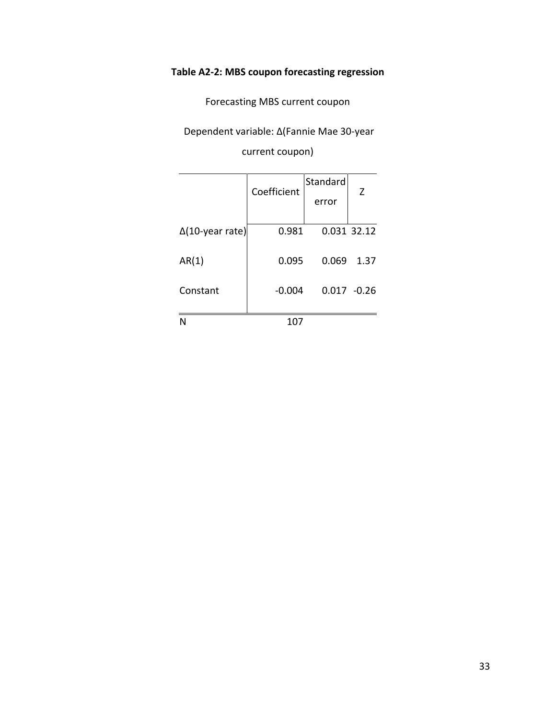# **Table A2‐2: MBS coupon forecasting regression**

Forecasting MBS current coupon

Dependent variable: Δ(Fannie Mae 30‐year

current coupon)

|                         | Coefficient | Standard<br>error | Z              |
|-------------------------|-------------|-------------------|----------------|
| $\Delta(10$ -year rate) | 0.981       |                   | 0.031 32.12    |
| AR(1)                   | 0.095       | 0.069             | 1.37           |
| Constant                | $-0.004$    |                   | $0.017 - 0.26$ |
|                         |             |                   |                |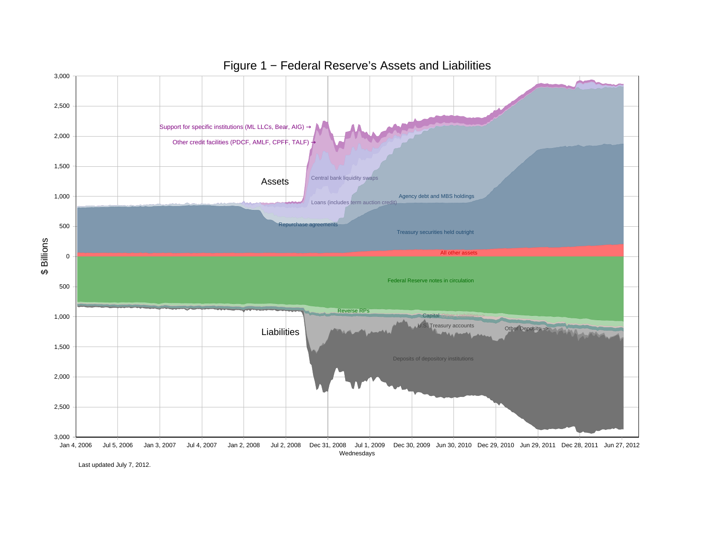

Last updated July 7, 2012.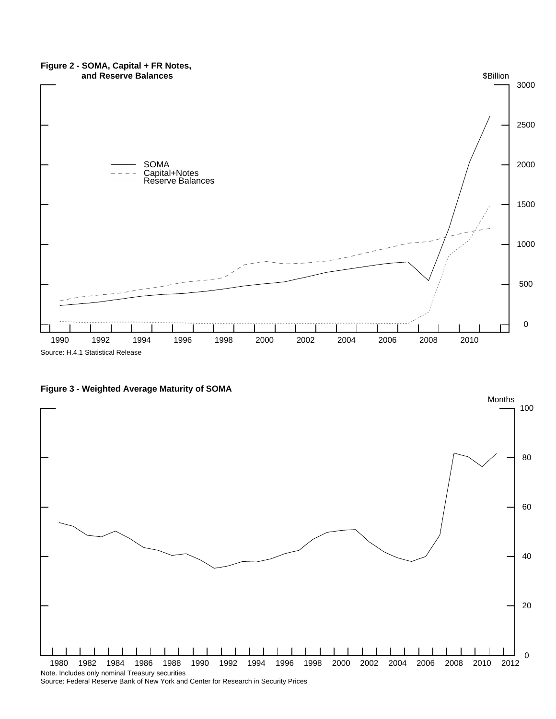

**Figure 3 - Weighted Average Maturity of SOMA**



Source: Federal Reserve Bank of New York and Center for Research in Security Prices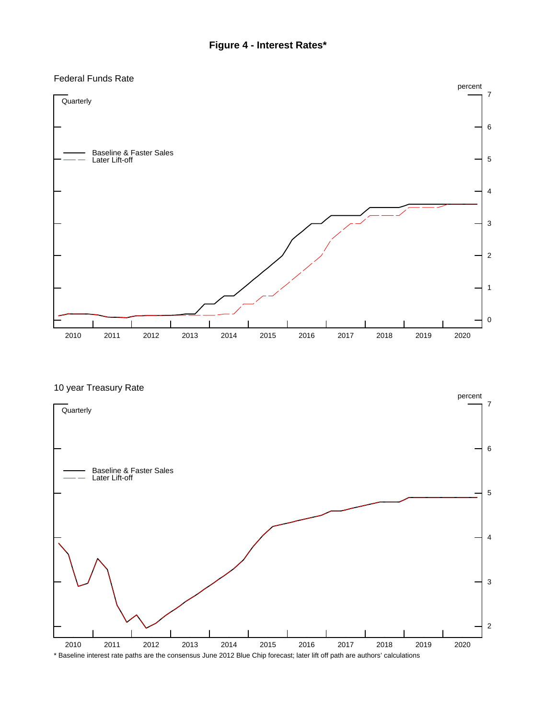#### Federal Funds Rate



### 10 year Treasury Rate

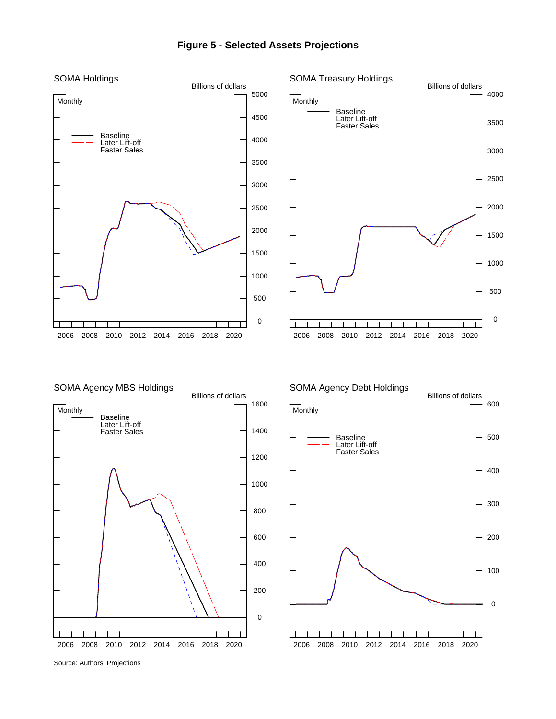

### **Figure 5 - Selected Assets Projections**



#### SOMA Agency MBS Holdings



SOMA Agency Debt Holdings



Source: Authors' Projections